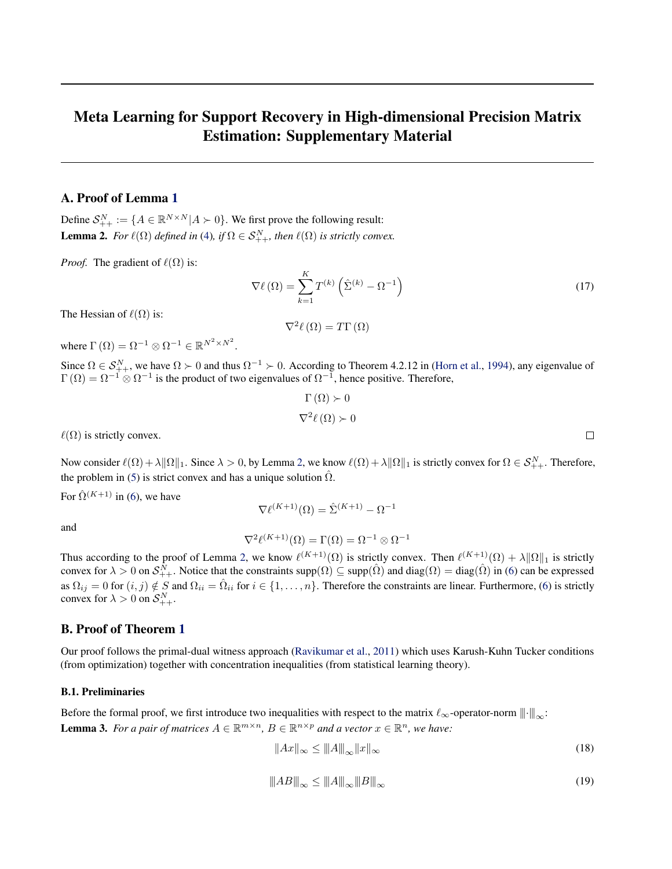# <span id="page-0-0"></span>Meta Learning for Support Recovery in High-dimensional Precision Matrix Estimation: Supplementary Material

# A. Proof of Lemma [1](#page--1-0)

Define  $S_{++}^N := \{ A \in \mathbb{R}^{N \times N} | A \succ 0 \}$ . We first prove the following result: **Lemma 2.** *For*  $\ell(\Omega)$  *defined in* [\(4\)](#page--1-0), *if*  $\Omega \in S_{++}^N$ , *then*  $\ell(\Omega)$  *is strictly convex.* 

*Proof.* The gradient of  $\ell(\Omega)$  is:

$$
\nabla \ell \left( \Omega \right) = \sum_{k=1}^{K} T^{(k)} \left( \hat{\Sigma}^{(k)} - \Omega^{-1} \right)
$$
\n(17)

The Hessian of  $\ell(\Omega)$  is:

$$
\nabla^2 \ell(\Omega) = T\Gamma(\Omega)
$$

where  $\Gamma(\Omega) = \Omega^{-1} \otimes \Omega^{-1} \in \mathbb{R}^{N^2 \times N^2}$ .

Since  $\Omega \in S^N_{++}$ , we have  $\Omega \succ 0$  and thus  $\Omega^{-1} \succ 0$ . According to Theorem 4.2.12 in [\(Horn et al.,](#page--1-0) [1994\)](#page--1-0), any eigenvalue of  $\Gamma(\Omega) = \Omega^{-1} \otimes \Omega^{-1}$  is the product of two eigenvalues of  $\Omega^{-1}$ , hence positive. Therefore,

$$
\Gamma(\Omega) \succ 0
$$
  

$$
\nabla^2 \ell(\Omega) \succ 0
$$

 $\ell(\Omega)$  is strictly convex.

Now consider  $\ell(\Omega) + \lambda \|\Omega\|_1$ . Since  $\lambda > 0$ , by Lemma 2, we know  $\ell(\Omega) + \lambda \|\Omega\|_1$  is strictly convex for  $\Omega \in \mathcal{S}_{++}^N$ . Therefore, the problem in [\(5\)](#page--1-0) is strict convex and has a unique solution  $\hat{\Omega}$ .

For  $\hat{\Omega}^{(K+1)}$  in [\(6\)](#page--1-0), we have

$$
\nabla \ell^{(K+1)}(\Omega) = \hat{\Sigma}^{(K+1)} - \Omega^{-1}
$$

and

$$
\nabla^2 \ell^{(K+1)}(\Omega) = \Gamma(\Omega) = \Omega^{-1} \otimes \Omega^{-1}
$$

Thus according to the proof of Lemma 2, we know  $\ell^{(K+1)}(\Omega)$  is strictly convex. Then  $\ell^{(K+1)}(\Omega) + \lambda \|\Omega\|_1$  is strictly convex for  $\lambda > 0$  on  $S_{++}^N$ . Notice that the constraints supp $(\Omega) \subseteq \text{supp}(\hat{\Omega})$  and  $\text{diag}(\Omega) = \text{diag}(\hat{\Omega})$  in [\(6\)](#page--1-0) can be expressed as  $\Omega_{ij} = 0$  for  $(i, j) \notin S$  and  $\Omega_{ii} = \hat{\Omega}_{ii}$  for  $i \in \{1, ..., n\}$ . Therefore the constraints are linear. Furthermore, [\(6\)](#page--1-0) is strictly convex for  $\lambda > 0$  on  $S_{++}^N$ .

# B. Proof of Theorem [1](#page--1-0)

Our proof follows the primal-dual witness approach [\(Ravikumar et al.,](#page--1-0) [2011\)](#page--1-0) which uses Karush-Kuhn Tucker conditions (from optimization) together with concentration inequalities (from statistical learning theory).

#### B.1. Preliminaries

Before the formal proof, we first introduce two inequalities with respect to the matrix  $\ell_{\infty}$ -operator-norm  $||\cdot||_{\infty}$ : **Lemma 3.** For a pair of matrices  $A \in \mathbb{R}^{m \times n}$ ,  $B \in \mathbb{R}^{n \times p}$  and a vector  $x \in \mathbb{R}^n$ , we have:

$$
||Ax||_{\infty} \le ||A||_{\infty} ||x||_{\infty}
$$
\n(18)

$$
\|AB\|_{\infty} \le \|A\|_{\infty} \|B\|_{\infty}
$$
\n(19)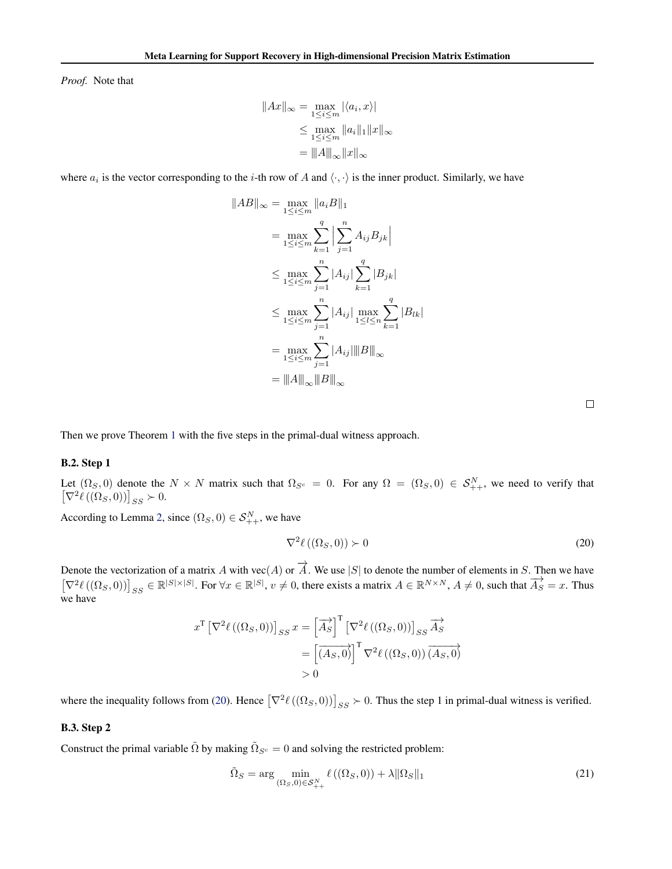<span id="page-1-0"></span>*Proof.* Note that

$$
||Ax||_{\infty} = \max_{1 \le i \le m} |\langle a_i, x \rangle|
$$
  

$$
\le \max_{1 \le i \le m} ||a_i||_1 ||x||_{\infty}
$$
  

$$
= ||A||_{\infty} ||x||_{\infty}
$$

where  $a_i$  is the vector corresponding to the *i*-th row of A and  $\langle \cdot, \cdot \rangle$  is the inner product. Similarly, we have

$$
||AB||_{\infty} = \max_{1 \le i \le m} ||a_iB||_1
$$
  
= 
$$
\max_{1 \le i \le m} \sum_{k=1}^q \Big| \sum_{j=1}^n A_{ij} B_{jk} \Big|
$$
  

$$
\le \max_{1 \le i \le m} \sum_{j=1}^n |A_{ij}| \sum_{k=1}^q |B_{jk}|
$$
  

$$
\le \max_{1 \le i \le m} \sum_{j=1}^n |A_{ij}| \max_{1 \le l \le n} \sum_{k=1}^q |B_{lk}|
$$
  
= 
$$
\max_{1 \le i \le m} \sum_{j=1}^n |A_{ij}| ||B||_{\infty}
$$
  
= 
$$
||A||_{\infty} ||B||_{\infty}
$$

Then we prove Theorem [1](#page--1-0) with the five steps in the primal-dual witness approach.

#### B.2. Step 1

Let  $(\Omega_S, 0)$  denote the  $N \times N$  matrix such that  $\Omega_{S^c} = 0$ . For any  $\Omega = (\Omega_S, 0) \in S^N_{++}$ , we need to verify that  $[\nabla^2 \ell((\Omega_S, 0))]_{SS} \succ 0.$ 

According to Lemma [2,](#page-0-0) since  $(\Omega_S, 0) \in S^N_{++}$ , we have

$$
\nabla^2 \ell\left( (\Omega_S, 0) \right) \succ 0 \tag{20}
$$

Denote the vectorization of a matrix A with vec(A) or  $\overrightarrow{A}$ . We use |S| to denote the number of elements in S. Then we have  $[\nabla^2 \ell((\Omega_S, 0))]_{SS} \in \mathbb{R}^{|S| \times |S|}$ . For  $\forall x \in \mathbb{R}^{|S|}, v \neq 0$ , there exists a matrix  $A \in \mathbb{R}^{N \times N}, A \neq 0$ , such that  $\overline{A_S} = x$ . Thus we have

$$
x^{\mathrm{T}} \left[ \nabla^2 \ell \left( (\Omega_S, 0) \right) \right]_{SS} x = \left[ \overrightarrow{A_S} \right]^{\mathrm{T}} \left[ \nabla^2 \ell \left( (\Omega_S, 0) \right) \right]_{SS} \overrightarrow{A_S} = \left[ \overrightarrow{(A_S, 0)} \right]^{\mathrm{T}} \nabla^2 \ell \left( (\Omega_S, 0) \right) \overrightarrow{(A_S, 0)} > 0
$$

where the inequality follows from (20). Hence  $[\nabla^2 \ell((\Omega_S, 0))]_{SS} \succ 0$ . Thus the step 1 in primal-dual witness is verified.

#### B.3. Step 2

Construct the primal variable  $\tilde{\Omega}$  by making  $\tilde{\Omega}_{S^c} = 0$  and solving the restricted problem:

$$
\tilde{\Omega}_S = \arg\min_{\left(\Omega_S, 0\right) \in \mathcal{S}_{++}^N} \ell\left(\left(\Omega_S, 0\right)\right) + \lambda \|\Omega_S\|_1\tag{21}
$$

 $\Box$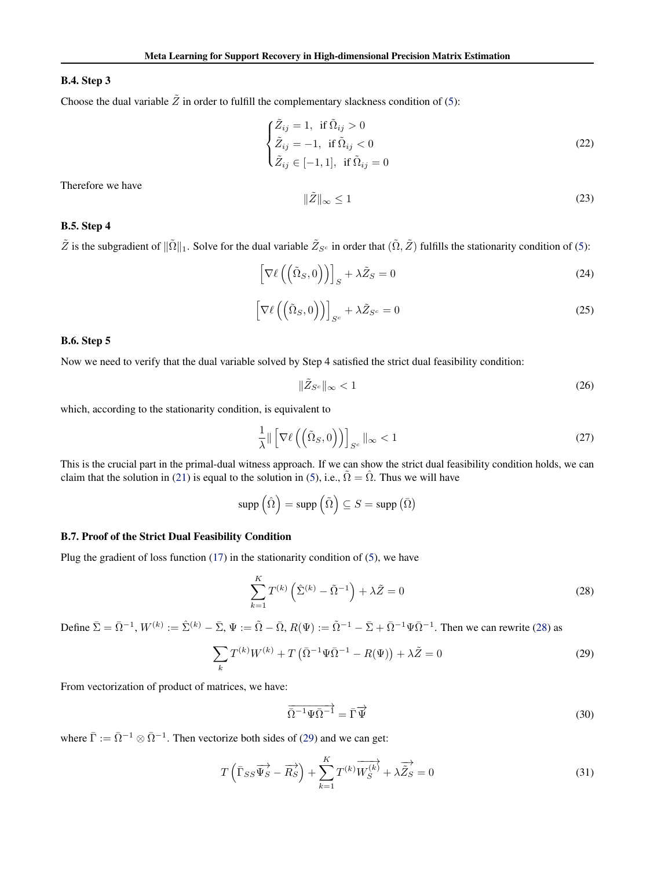### <span id="page-2-0"></span>B.4. Step 3

Choose the dual variable  $\tilde{Z}$  in order to fulfill the complementary slackness condition of [\(5\)](#page--1-0):

$$
\begin{cases}\n\tilde{Z}_{ij} = 1, & \text{if } \tilde{\Omega}_{ij} > 0 \\
\tilde{Z}_{ij} = -1, & \text{if } \tilde{\Omega}_{ij} < 0 \\
\tilde{Z}_{ij} \in [-1, 1], & \text{if } \tilde{\Omega}_{ij} = 0\n\end{cases}
$$
\n(22)

Therefore we have

$$
\|\tilde{Z}\|_{\infty} \le 1\tag{23}
$$

### B.5. Step 4

 $\tilde{Z}$  is the subgradient of  $\|\tilde{\Omega}\|_1$ . Solve for the dual variable  $\tilde{Z}_{S^c}$  in order that  $(\tilde{\Omega}, \tilde{Z})$  fulfills the stationarity condition of [\(5\)](#page--1-0):

$$
\left[\nabla\ell\left(\left(\tilde{\Omega}_S,0\right)\right)\right]_S + \lambda \tilde{Z}_S = 0\tag{24}
$$

$$
\left[\nabla\ell\left(\left(\tilde{\Omega}_S,0\right)\right)\right]_{S^c} + \lambda \tilde{Z}_{S^c} = 0\tag{25}
$$

#### B.6. Step 5

Now we need to verify that the dual variable solved by Step 4 satisfied the strict dual feasibility condition:

$$
\|\tilde{Z}_{S^c}\|_{\infty} < 1\tag{26}
$$

which, according to the stationarity condition, is equivalent to

$$
\frac{1}{\lambda} \|\left[\nabla \ell\left(\left(\tilde{\Omega}_S, 0\right)\right)\right]_{S^c} \|_{\infty} < 1\tag{27}
$$

This is the crucial part in the primal-dual witness approach. If we can show the strict dual feasibility condition holds, we can claim that the solution in [\(21\)](#page-1-0) is equal to the solution in [\(5\)](#page--1-0), i.e.,  $\tilde{\Omega} = \hat{\Omega}$ . Thus we will have

$$
\operatorname{supp}\left(\hat{\Omega}\right)=\operatorname{supp}\left(\tilde{\Omega}\right)\subseteq S=\operatorname{supp}\left(\bar{\Omega}\right)
$$

### B.7. Proof of the Strict Dual Feasibility Condition

Plug the gradient of loss function  $(17)$  in the stationarity condition of  $(5)$ , we have

$$
\sum_{k=1}^{K} T^{(k)} \left( \hat{\Sigma}^{(k)} - \tilde{\Omega}^{-1} \right) + \lambda \tilde{Z} = 0 \tag{28}
$$

Define  $\bar{\Sigma} = \bar{\Omega}^{-1}$ ,  $W^{(k)} := \hat{\Sigma}^{(k)} - \bar{\Sigma}$ ,  $\Psi := \tilde{\Omega} - \bar{\Omega}$ ,  $R(\Psi) := \tilde{\Omega}^{-1} - \bar{\Sigma} + \bar{\Omega}^{-1} \Psi \bar{\Omega}^{-1}$ . Then we can rewrite (28) as

$$
\sum_{k} T^{(k)} W^{(k)} + T \left( \bar{\Omega}^{-1} \Psi \bar{\Omega}^{-1} - R(\Psi) \right) + \lambda \tilde{Z} = 0 \tag{29}
$$

From vectorization of product of matrices, we have:

$$
\overrightarrow{\Omega}^{-1}\overrightarrow{\Psi}\overrightarrow{\Omega}^{-1} = \overrightarrow{\Gamma}\overrightarrow{\Psi}
$$
\n(30)

where  $\bar{\Gamma} := \bar{\Omega}^{-1} \otimes \bar{\Omega}^{-1}$ . Then vectorize both sides of (29) and we can get:

$$
T\left(\bar{\Gamma}_{SS}\overrightarrow{\Psi}_{S} - \overrightarrow{R}_{S} \right) + \sum_{k=1}^{K} T^{(k)} \overrightarrow{W_{S}^{(k)}} + \lambda \overrightarrow{\tilde{Z}_{S}} = 0
$$
\n(31)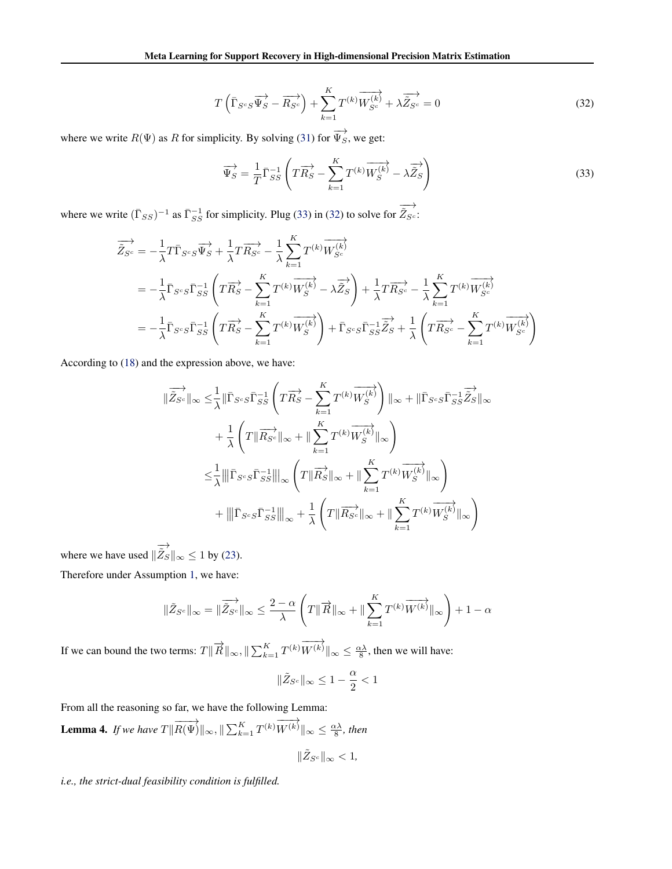$$
T\left(\bar{\Gamma}_{S^cS}\overrightarrow{\Psi_S} - \overrightarrow{R_{S^c}}\right) + \sum_{k=1}^K T^{(k)}\overrightarrow{W_{S^c}^{(k)}} + \lambda \overrightarrow{\tilde{Z}_{S^c}} = 0
$$
\n(32)

<span id="page-3-0"></span>where we write  $R(\Psi)$  as R for simplicity. By solving [\(31\)](#page-2-0) for  $\overrightarrow{\Psi_S}$ , we get:

$$
\overrightarrow{\Psi}_{S} = \frac{1}{T} \overrightarrow{\Gamma}_{SS}^{-1} \left( T \overrightarrow{R}_{S} - \sum_{k=1}^{K} T^{(k)} \overrightarrow{W}_{S}^{(k)} - \lambda \overrightarrow{\tilde{Z}}_{S} \right)
$$
(33)

where we write  $(\bar{\Gamma}_{SS})^{-1}$  as  $\bar{\Gamma}_{SS}^{-1}$  for simplicity. Plug (33) in (32) to solve for  $\overrightarrow{\tilde{Z}_{S^c}}$ :

$$
\overrightarrow{\tilde{Z}_{S^c}} = -\frac{1}{\lambda} T \overrightarrow{\Gamma}_{S^c S} \overrightarrow{\Psi_S} + \frac{1}{\lambda} T \overrightarrow{R_{S^c}} - \frac{1}{\lambda} \sum_{k=1}^K T^{(k)} \overrightarrow{W_{S^c}^{(k)}}
$$
\n
$$
= -\frac{1}{\lambda} \overrightarrow{\Gamma}_{S^c S} \overrightarrow{\Gamma}_{SS}^{-1} \left( T \overrightarrow{R_S} - \sum_{k=1}^K T^{(k)} \overrightarrow{W_S^{(k)}} - \lambda \overrightarrow{\tilde{Z}_S} \right) + \frac{1}{\lambda} T \overrightarrow{R_{S^c}} - \frac{1}{\lambda} \sum_{k=1}^K T^{(k)} \overrightarrow{W_{S^c}^{(k)}}
$$
\n
$$
= -\frac{1}{\lambda} \overrightarrow{\Gamma}_{S^c S} \overrightarrow{\Gamma}_{SS}^{-1} \left( T \overrightarrow{R_S} - \sum_{k=1}^K T^{(k)} \overrightarrow{W_S^{(k)}} \right) + \overrightarrow{\Gamma}_{S^c S} \overrightarrow{\Gamma}_{SS}^{-1} \overrightarrow{\tilde{Z}_S} + \frac{1}{\lambda} \left( T \overrightarrow{R_{S^c}} - \sum_{k=1}^K T^{(k)} \overrightarrow{W_{S^c}^{(k)}} \right)
$$

According to [\(18\)](#page-0-0) and the expression above, we have:

$$
\begin{split}\n\|\overrightarrow{\tilde{Z}_{S^c}}\|_{\infty} &\leq \frac{1}{\lambda} \|\overrightarrow{\Gamma}_{S^c S} \overrightarrow{\Gamma}_{SS}^{-1} \left( T \overrightarrow{R_S} - \sum_{k=1}^K T^{(k)} \overrightarrow{W_S^{(k)}} \right) \|_{\infty} + \|\overrightarrow{\Gamma}_{S^c S} \overrightarrow{\Gamma}_{SS}^{-1} \overrightarrow{\tilde{Z}}_S \|_{\infty} \\
&\quad + \frac{1}{\lambda} \left( T \|\overrightarrow{R_{S^c}}\|_{\infty} + \|\sum_{k=1}^K T^{(k)} \overrightarrow{W_S^{(k)}}\|_{\infty} \right) \\
&\leq \frac{1}{\lambda} \|\|\overrightarrow{\Gamma}_{S^c S} \overrightarrow{\Gamma}_{SS}^{-1}\|_{\infty} \left( T \|\overrightarrow{R_S}\|_{\infty} + \|\sum_{k=1}^K T^{(k)} \overrightarrow{W_S^{(k)}}\|_{\infty} \right) \\
&\quad + \|\overrightarrow{\Gamma}_{S^c S} \overrightarrow{\Gamma}_{SS}^{-1}\|_{\infty} + \frac{1}{\lambda} \left( T \|\overrightarrow{R_{S^c}}\|_{\infty} + \|\sum_{k=1}^K T^{(k)} \overrightarrow{W_S^{(k)}}\|_{\infty} \right)\n\end{split}
$$

where we have used  $\parallel$  $\overrightarrow{\tilde{Z}_S} \|_{\infty} \le 1$  by [\(23\)](#page-2-0).

Therefore under Assumption [1,](#page--1-0) we have:

$$
\|\tilde{Z}_{S^c}\|_{\infty} = \|\overrightarrow{\tilde{Z}_{S^c}}\|_{\infty} \le \frac{2-\alpha}{\lambda} \left( T\|\overrightarrow{R}\|_{\infty} + \|\sum_{k=1}^K T^{(k)}\overrightarrow{W^{(k)}}\|_{\infty} \right) + 1 - \alpha
$$

If we can bound the two terms:  $T \|\vec{R}\|_{\infty}$ ,  $\|\sum_{k=1}^{K} T^{(k)} \overrightarrow{W^{(k)}}\|_{\infty} \le \frac{\alpha \lambda}{8}$ , then we will have:

$$
\|\tilde{Z}_{S^c}\|_\infty \leq 1-\frac{\alpha}{2} < 1
$$

From all the reasoning so far, we have the following Lemma:

**Lemma 4.** If we have  $T\|\overrightarrow{R(\Psi)}\|_{\infty}$ ,  $\|\sum_{k=1}^{K} T^{(k)}\overrightarrow{W^{(k)}}\|_{\infty} \leq \frac{\alpha\lambda}{8}$ , then

$$
\|\tilde Z_{S^c}\|_\infty<1,
$$

*i.e., the strict-dual feasibility condition is fulfilled.*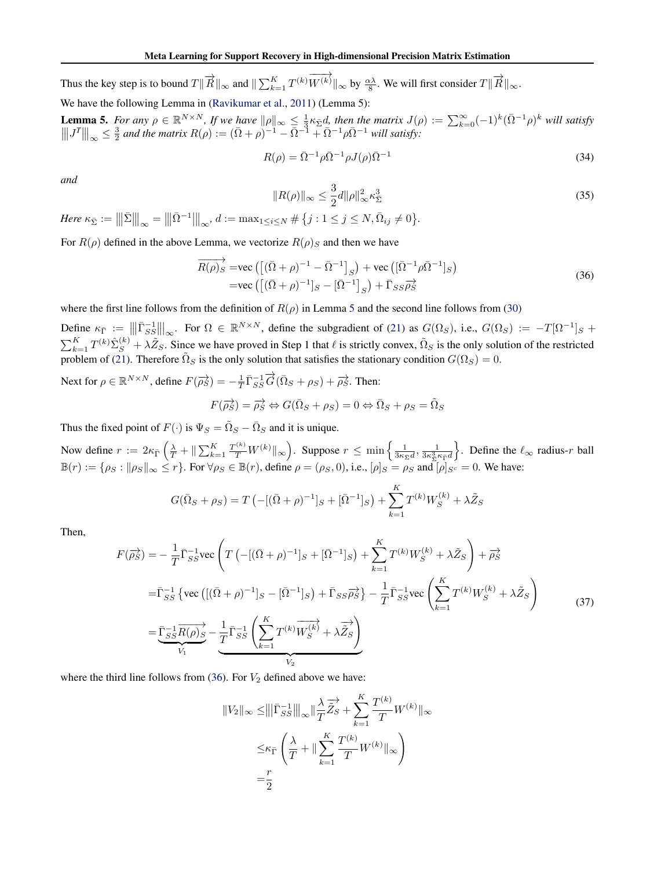<span id="page-4-0"></span>Thus the key step is to bound  $T \|\overrightarrow{R}\|_{\infty}$  and  $\|\sum_{k=1}^{K} T^{(k)} \overrightarrow{W^{(k)}}\|_{\infty}$  by  $\frac{\alpha \lambda}{8}$ . We will first consider  $T \|\overrightarrow{R}\|_{\infty}$ .

We have the following Lemma in [\(Ravikumar et al.,](#page--1-0) [2011\)](#page--1-0) (Lemma 5):

**Lemma 5.** For any  $\rho \in \mathbb{R}^{N \times N}$ , If we have  $\|\rho\|_{\infty} \leq \frac{1}{3} \kappa_{\bar{\Sigma}} d$ , then the matrix  $J(\rho) := \sum_{k=0}^{\infty} (-1)^k (\bar{\Omega}^{-1} \rho)^k$  will satisfy  $\|\Vert J^T \Vert_{\infty} \leq \frac{3}{2}$  and the matrix  $R(\rho) := (\bar{\Omega} + \rho)^{-1} - \bar{\Omega}^{-1} + \bar{\Omega}^{-1} \rho \bar{\Omega}^{-1}$  will satisfy:

$$
R(\rho) = \bar{\Omega}^{-1} \rho \bar{\Omega}^{-1} \rho J(\rho) \bar{\Omega}^{-1}
$$
\n(34)

*and*

$$
||R(\rho)||_{\infty} \le \frac{3}{2}d||\rho||_{\infty}^{2}\kappa_{\Sigma}^{3}
$$
\n(35)

 $Here \kappa_{\bar{\Sigma}} := |||\bar{\Sigma}|||_{\infty} = |||\bar{\Omega}^{-1}|||_{\infty}, d := \max_{1 \leq i \leq N} \# \{j : 1 \leq j \leq N, \bar{\Omega}_{ij} \neq 0\}.$ 

For  $R(\rho)$  defined in the above Lemma, we vectorize  $R(\rho)$ <sub>S</sub> and then we have

$$
\overrightarrow{R(\rho)}_S = \text{vec}\left(\left[(\overline{\Omega} + \rho)^{-1} - \overline{\Omega}^{-1}\right]_S\right) + \text{vec}\left([\overline{\Omega}^{-1}\rho\overline{\Omega}^{-1}]_S\right) \n= \text{vec}\left(\left[(\overline{\Omega} + \rho)^{-1}\right]_S - \left[\overline{\Omega}^{-1}\right]_S\right) + \overline{\Gamma}_{SS}\overrightarrow{\rho}_S^2
$$
\n(36)

where the first line follows from the definition of  $R(\rho)$  in Lemma 5 and the second line follows from [\(30\)](#page-2-0)

Define  $\kappa_{\bar{\Gamma}} := \left\| \left\| \bar{\Gamma}_{SS}^{-1} \right\| \right\|_{\infty}$ . For  $\Omega \in \mathbb{R}^{N \times N}$ , define the subgradient of [\(21\)](#page-1-0) as  $G(\Omega_S)$ , i.e.,  $G(\Omega_S) := -T[\Omega^{-1}]_S +$  $\sum_{k=1}^K T^{(k)} \hat{\Sigma}_S^{(k)} + \lambda \tilde{Z}_S$ . Since we have proved in Step 1 that  $\ell$  is strictly convex,  $\tilde{\Omega}_S$  is the only solution of the restricted problem of [\(21\)](#page-1-0). Therefore  $\tilde{\Omega}_S$  is the only solution that satisfies the stationary condition  $G(\Omega_S) = 0$ .

Next for 
$$
\rho \in \mathbb{R}^{N \times N}
$$
, define  $F(\overrightarrow{\rho_S}) = -\frac{1}{T} \overrightarrow{\Gamma_{SS}} \overrightarrow{G} (\overrightarrow{\Omega_S} + \rho_S) + \overrightarrow{\rho_S}$ . Then:  

$$
F(\overrightarrow{\rho_S}) = \overrightarrow{\rho_S} \Leftrightarrow G(\overrightarrow{\Omega_S} + \rho_S) = 0 \Leftrightarrow \overrightarrow{\Omega_S} + \rho_S = \overrightarrow{\Omega_S}
$$

Thus the fixed point of  $F(\cdot)$  is  $\Psi_S = \tilde{\Omega}_S - \bar{\Omega}_S$  and it is unique.

Now define  $r := 2\kappa_{\bar{\Gamma}}\left(\frac{\lambda}{T} + \|\sum_{k=1}^K \frac{T^{(k)}}{T}W^{(k)}\|_{\infty}\right)$ . Suppose  $r \le \min\left\{\frac{1}{3\kappa_{\bar{\Sigma}}d}, \frac{1}{3\kappa_{\bar{\Sigma}}^3\kappa_{\bar{\Gamma}}d} \right\}$ . Define the  $\ell_{\infty}$  radius-r ball  $\mathbb{B}(r) := \{\rho_S : ||\rho_S||_{\infty} \leq r\}$ . For  $\forall \rho_S \in \mathbb{B}(r)$ , define  $\rho = (\rho_S, 0)$ , i.e.,  $[\rho]_S = \rho_S$  and  $[\rho]_{S^c} = 0$ . We have:

$$
G(\bar{\Omega}_S + \rho_S) = T\left(-[(\bar{\Omega} + \rho)^{-1}]_S + [\bar{\Omega}^{-1}]_S\right) + \sum_{k=1}^K T^{(k)} W_S^{(k)} + \lambda \tilde{Z}_S
$$

Then,

$$
F(\overrightarrow{\rho_S}) = -\frac{1}{T} \overrightarrow{\Gamma_{SS}} \text{vec} \left( T \left( -[(\overrightarrow{\Omega} + \rho)^{-1}]_S + [\overrightarrow{\Omega}^{-1}]_S \right) + \sum_{k=1}^K T^{(k)} W_S^{(k)} + \lambda \tilde{Z}_S \right) + \overrightarrow{\rho_S}
$$
  
\n
$$
= \overrightarrow{\Gamma_{SS}} \left\{ \text{vec} \left( [(\overrightarrow{\Omega} + \rho)^{-1}]_S - [\overrightarrow{\Omega}^{-1}]_S \right) + \overrightarrow{\Gamma}_{SS} \overrightarrow{\rho_S} \right\} - \frac{1}{T} \overrightarrow{\Gamma_{SS}} \text{vec} \left( \sum_{k=1}^K T^{(k)} W_S^{(k)} + \lambda \tilde{Z}_S \right)
$$
  
\n
$$
= \overrightarrow{\Gamma_{SS}} \frac{1}{R(\rho)_S} - \frac{1}{T} \overrightarrow{\Gamma_{SS}} \left( \sum_{k=1}^K T^{(k)} W_S^{(k)} + \lambda \overrightarrow{\tilde{Z}}_S \right)
$$
  
\n
$$
V_2
$$
 (37)

where the third line follows from (36). For  $V_2$  defined above we have:

$$
||V_2||_{\infty} \le |||\bar{\Gamma}_{SS}^{-1}|||_{\infty} ||\frac{\lambda}{T} \overrightarrow{\tilde{Z}}_S + \sum_{k=1}^K \frac{T^{(k)}}{T} W^{(k)}||_{\infty} \\
\le \kappa_{\bar{\Gamma}} \left(\frac{\lambda}{T} + ||\sum_{k=1}^K \frac{T^{(k)}}{T} W^{(k)}||_{\infty}\right) \\
= \frac{r}{2}
$$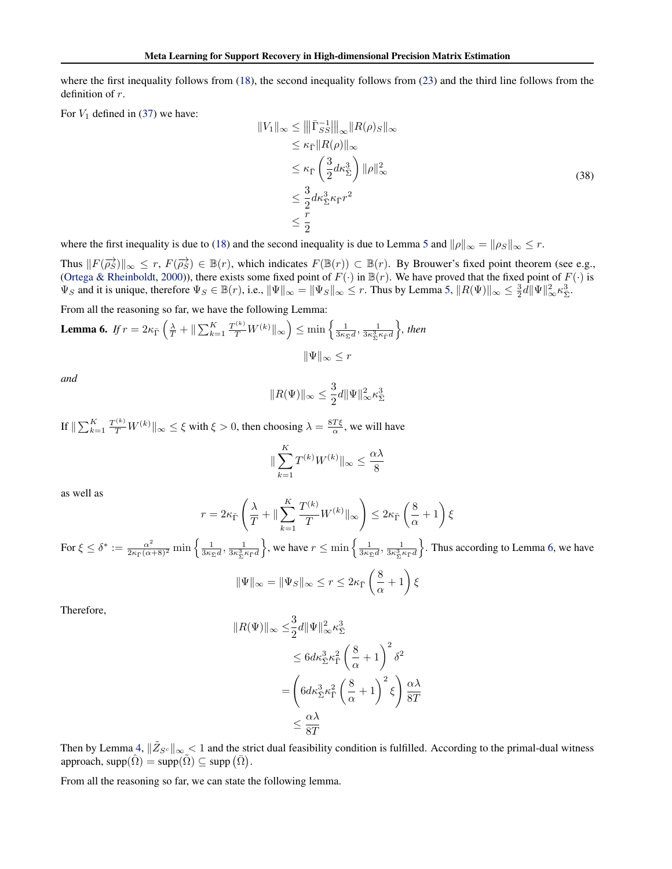where the first inequality follows from [\(18\)](#page-0-0), the second inequality follows from [\(23\)](#page-2-0) and the third line follows from the definition of r.

For  $V_1$  defined in [\(37\)](#page-4-0) we have:

$$
||V_1||_{\infty} \le |||\bar{\Gamma}_{SS}^{-1}|||_{\infty} ||R(\rho)_S||_{\infty}
$$
  
\n
$$
\le \kappa_{\bar{\Gamma}} ||R(\rho)||_{\infty}
$$
  
\n
$$
\le \kappa_{\bar{\Gamma}} \left(\frac{3}{2}d\kappa_{\bar{\Sigma}}^3\right) ||\rho||_{\infty}^2
$$
  
\n
$$
\le \frac{3}{2}d\kappa_{\bar{\Sigma}}^3 \kappa_{\bar{\Gamma}} r^2
$$
  
\n
$$
\le \frac{r}{2}
$$
 (38)

where the first inequality is due to [\(18\)](#page-0-0) and the second inequality is due to Lemma [5](#page-4-0) and  $\|\rho\|_{\infty} = \|\rho_S\|_{\infty} \leq r$ .

Thus  $||F(\overrightarrow{\rho_S})||_{\infty} \leq r$ ,  $F(\overrightarrow{\rho_S}) \in \mathbb{B}(r)$ , which indicates  $F(\mathbb{B}(r)) \subset \mathbb{B}(r)$ . By Brouwer's fixed point theorem (see e.g., [\(Ortega & Rheinboldt,](#page--1-0) [2000\)](#page--1-0)), there exists some fixed point of  $F(\cdot)$  in  $\mathbb{B}(r)$ . We have proved that the fixed point of  $F(\cdot)$  is  $\Psi_S$  and it is unique, therefore  $\Psi_S \in \mathbb{B}(r)$ , i.e.,  $\|\Psi\|_{\infty} = \|\Psi_S\|_{\infty} \leq r$ . Thus by Lemma [5,](#page-4-0)  $\|R(\Psi)\|_{\infty} \leq \frac{3}{2}d\|\Psi\|_{\infty}^2 \kappa_{\Sigma}^3$ .

From all the reasoning so far, we have the following Lemma:

**Lemma 6.** If 
$$
r = 2\kappa_{\overline{\Gamma}} \left( \frac{\lambda}{T} + \|\sum_{k=1}^K \frac{T^{(k)}}{T} W^{(k)}\|_{\infty} \right) \le \min \left\{ \frac{1}{3\kappa_{\Sigma} d}, \frac{1}{3\kappa_{\Sigma}^3 \kappa_{\Gamma} d} \right\}
$$
, then  

$$
\|\Psi\|_{\infty} \le r
$$

*and*

$$
||R(\Psi)||_{\infty} \leq \frac{3}{2}d||\Psi||_{\infty}^2 \kappa_{\Sigma}^3
$$

If  $\|\sum_{k=1}^K \frac{T^{(k)}}{T} W^{(k)} \|_\infty \le \xi$  with  $\xi > 0$ , then choosing  $\lambda = \frac{8T\xi}{\alpha}$ , we will have

$$
\|\sum_{k=1}^K T^{(k)} W^{(k)}\|_{\infty} \le \frac{\alpha\lambda}{8}
$$

as well as

$$
r = 2\kappa_{\bar{\Gamma}} \left( \frac{\lambda}{T} + \|\sum_{k=1}^{K} \frac{T^{(k)}}{T} W^{(k)}\|_{\infty} \right) \leq 2\kappa_{\bar{\Gamma}} \left( \frac{8}{\alpha} + 1 \right) \xi
$$

For  $\xi \leq \delta^* := \frac{\alpha^2}{2\kappa_{\bar{\Gamma}}(\alpha+8)^2} \min\left\{\frac{1}{3\kappa_{\bar{\Sigma}}^2 d}, \frac{1}{3\kappa_{\Sigma}^3 \kappa_{\bar{\Gamma}} d}\right\}$  $\}$ , we have  $r \leq \min\left\{\frac{1}{3\kappa_{\bar{\Sigma}}d}, \frac{1}{3\kappa_{\bar{\Sigma}}^3\kappa_{\bar{\Gamma}}d}\right\}$ o . Thus according to Lemma 6, we have

$$
\|\Psi\|_{\infty} = \|\Psi_S\|_{\infty} \le r \le 2\kappa_{\bar{\Gamma}}\left(\frac{8}{\alpha} + 1\right)\xi
$$

Therefore,

$$
||R(\Psi)||_{\infty} \leq \frac{3}{2}d||\Psi||_{\infty}^{2} \kappa_{\Sigma}^{3}
$$
  
\n
$$
\leq 6d\kappa_{\Sigma}^{3} \kappa_{\Gamma}^{2} \left(\frac{8}{\alpha} + 1\right)^{2} \delta^{2}
$$
  
\n
$$
= \left(6d\kappa_{\Sigma}^{3} \kappa_{\Gamma}^{2} \left(\frac{8}{\alpha} + 1\right)^{2} \xi\right) \frac{\alpha\lambda}{8T}
$$
  
\n
$$
\leq \frac{\alpha\lambda}{8T}
$$

Then by Lemma [4,](#page-3-0)  $\|\tilde{Z}_{S^c}\|_{\infty}$   $\leq 1$  and the strict dual feasibility condition is fulfilled. According to the primal-dual witness approach,  $\text{supp}(\hat{\Omega}) = \text{supp}(\tilde{\Omega}) \subseteq \text{supp}(\bar{\Omega})$ .

From all the reasoning so far, we can state the following lemma.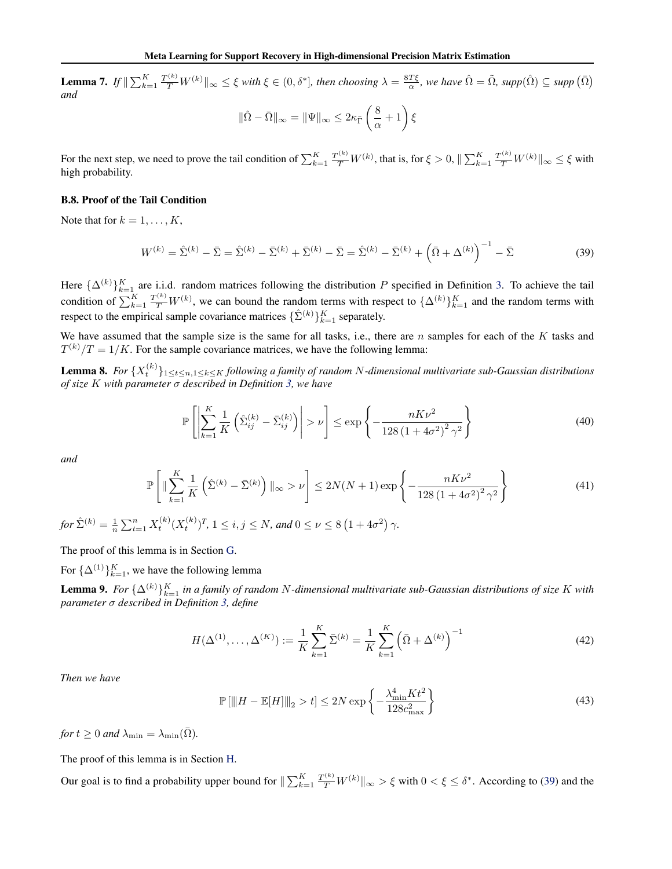<span id="page-6-0"></span>**Lemma 7.** If  $\|\sum_{k=1}^K \frac{T^{(k)}}{T} W^{(k)}\|_{\infty} \leq \xi$  with  $\xi \in (0, \delta^*]$ , then choosing  $\lambda = \frac{8T\xi}{\alpha}$ , we have  $\hat{\Omega} = \tilde{\Omega}$ , supp $(\hat{\Omega}) \subseteq supp(\bar{\Omega})$ *and*

$$
\|\hat{\Omega} - \bar{\Omega}\|_{\infty} = \|\Psi\|_{\infty} \leq 2\kappa_{\bar{\Gamma}}\left(\frac{8}{\alpha} + 1\right)\xi
$$

For the next step, we need to prove the tail condition of  $\sum_{k=1}^{K} \frac{T^{(k)}}{T} W^{(k)}$ , that is, for  $\xi > 0$ ,  $\|\sum_{k=1}^{K} \frac{T^{(k)}}{T} W^{(k)}\|_{\infty} \le \xi$  with high probability.

#### B.8. Proof of the Tail Condition

Note that for  $k = 1, \ldots, K$ ,

$$
W^{(k)} = \hat{\Sigma}^{(k)} - \bar{\Sigma} = \hat{\Sigma}^{(k)} - \bar{\Sigma}^{(k)} + \bar{\Sigma}^{(k)} - \bar{\Sigma} = \hat{\Sigma}^{(k)} - \bar{\Sigma}^{(k)} + (\bar{\Omega} + \Delta^{(k)})^{-1} - \bar{\Sigma}
$$
(39)

Here  $\{\Delta^{(k)}\}_{k=1}^K$  are i.i.d. random matrices following the distribution P specified in Definition [3.](#page--1-0) To achieve the tail condition of  $\sum_{k=1}^{K} \frac{T^{(k)}}{T} W^{(k)}$ , we can bound the random terms with respect to  $\{\Delta^{(k)}\}_{k=1}^{K}$  and the random terms with respect to the empirical sample covariance matrices  $\{\hat{\Sigma}^{(k)}\}_{k=1}^K$  separately.

We have assumed that the sample size is the same for all tasks, i.e., there are  $n$  samples for each of the  $K$  tasks and  $T^{(k)}/T = 1/K$ . For the sample covariance matrices, we have the following lemma:

**Lemma 8.** For  $\{X_t^{(k)}\}_{1\leq t\leq n, 1\leq k\leq K}$  following a family of random N-dimensional multivariate sub-Gaussian distributions *of size* K *with parameter* σ *described in Definition [3,](#page--1-0) we have*

$$
\mathbb{P}\left[\left|\sum_{k=1}^{K} \frac{1}{K} \left(\hat{\Sigma}_{ij}^{(k)} - \bar{\Sigma}_{ij}^{(k)}\right)\right| > \nu\right] \le \exp\left\{-\frac{nK\nu^2}{128\left(1 + 4\sigma^2\right)^2 \gamma^2}\right\} \tag{40}
$$

*and*

$$
\mathbb{P}\left[\|\sum_{k=1}^{K} \frac{1}{K} \left(\hat{\Sigma}^{(k)} - \bar{\Sigma}^{(k)}\right) \|_{\infty} > \nu\right] \le 2N(N+1) \exp\left\{-\frac{nK\nu^{2}}{128\left(1 + 4\sigma^{2}\right)^{2} \gamma^{2}}\right\}
$$
(41)

 $for \ \hat{\Sigma}^{(k)} = \frac{1}{n} \sum_{t=1}^{n} X_t^{(k)} (X_t^{(k)})^T, \ 1 \leq i, j \leq N, \ and \ 0 \leq \nu \leq 8 (1 + 4 \sigma^2) \ \gamma.$ 

The proof of this lemma is in Section [G.](#page-14-0)

For  $\{\Delta^{(1)}\}_{k=1}^K$ , we have the following lemma

**Lemma 9.** For  $\{\Delta^{(k)}\}_{k=1}^K$  in a family of random N-dimensional multivariate sub-Gaussian distributions of size K with *parameter* σ *described in Definition [3,](#page--1-0) define*

$$
H(\Delta^{(1)}, \dots, \Delta^{(K)}) := \frac{1}{K} \sum_{k=1}^{K} \bar{\Sigma}^{(k)} = \frac{1}{K} \sum_{k=1}^{K} \left( \bar{\Omega} + \Delta^{(k)} \right)^{-1}
$$
(42)

*Then we have*

$$
\mathbb{P}\left[\|H - \mathbb{E}[H]\|_{2} > t\right] \le 2N \exp\left\{-\frac{\lambda_{\min}^{4} K t^{2}}{128c_{\max}^{2}}\right\}
$$
\n(43)

*for*  $t \geq 0$  *and*  $\lambda_{\min} = \lambda_{\min}(\bar{\Omega})$ *.* 

The proof of this lemma is in Section [H.](#page-19-0)

Our goal is to find a probability upper bound for  $\|\sum_{k=1}^K \frac{T^{(k)}}{T} W^{(k)} \|_{\infty} > \xi$  with  $0 < \xi \le \delta^*$ . According to (39) and the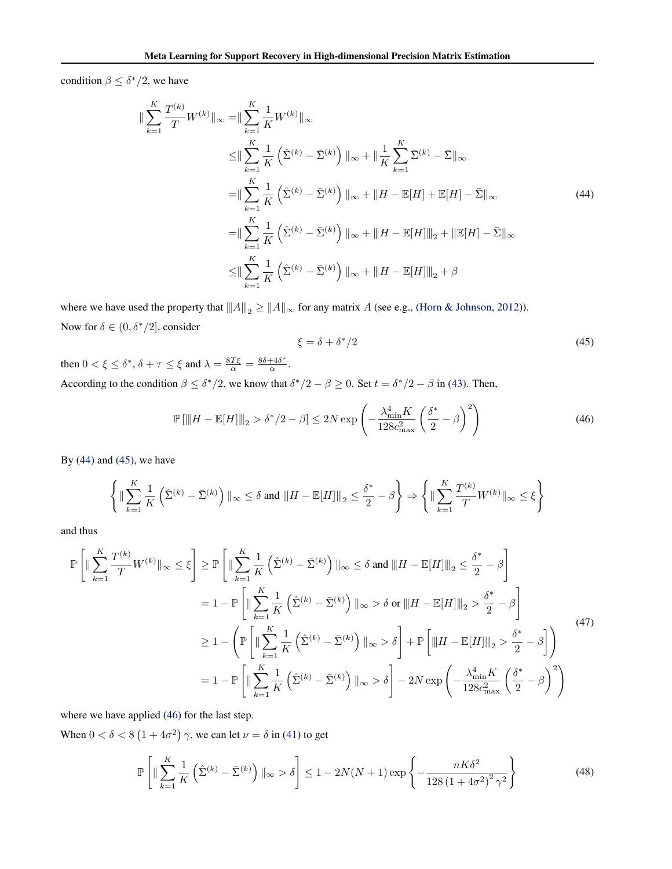<span id="page-7-0"></span>condition  $\beta \leq \delta^*/2$ , we have

$$
\|\sum_{k=1}^{K} \frac{T^{(k)}}{T} W^{(k)}\|_{\infty} = \|\sum_{k=1}^{K} \frac{1}{K} W^{(k)}\|_{\infty}
$$
  
\n
$$
\leq \|\sum_{k=1}^{K} \frac{1}{K} \left(\hat{\Sigma}^{(k)} - \bar{\Sigma}^{(k)}\right) \|_{\infty} + \|\frac{1}{K} \sum_{k=1}^{K} \bar{\Sigma}^{(k)} - \bar{\Sigma} \|_{\infty}
$$
  
\n
$$
= \|\sum_{k=1}^{K} \frac{1}{K} \left(\hat{\Sigma}^{(k)} - \bar{\Sigma}^{(k)}\right) \|_{\infty} + \|H - \mathbb{E}[H] + \mathbb{E}[H] - \bar{\Sigma} \|_{\infty}
$$
  
\n
$$
= \|\sum_{k=1}^{K} \frac{1}{K} \left(\hat{\Sigma}^{(k)} - \bar{\Sigma}^{(k)}\right) \|_{\infty} + \|H - \mathbb{E}[H] \|_{2} + \|\mathbb{E}[H] - \bar{\Sigma} \|_{\infty}
$$
  
\n
$$
\leq \|\sum_{k=1}^{K} \frac{1}{K} \left(\hat{\Sigma}^{(k)} - \bar{\Sigma}^{(k)}\right) \|_{\infty} + \|H - \mathbb{E}[H] \|_{2} + \beta
$$
  
\n(44)

where we have used the property that  $|| ||A||_2 \ge ||A||_{\infty}$  for any matrix A (see e.g., [\(Horn & Johnson,](#page--1-0) [2012\)](#page--1-0)). Now for  $\delta \in (0, \delta^*/2]$ , consider

$$
\xi = \delta + \delta^*/2 \tag{45}
$$

then  $0 < \xi \leq \delta^*$ ,  $\delta + \tau \leq \xi$  and  $\lambda = \frac{8T\xi}{\alpha} = \frac{8\delta + 4\delta^*}{\alpha}$  $\frac{+40}{\alpha}$ . According to the condition  $\beta \leq \delta^*/2$ , we know that  $\delta^*/2 - \beta \geq 0$ . Set  $t = \delta^*/2 - \beta$  in [\(43\)](#page-6-0). Then,

$$
\mathbb{P}\left[\|H - \mathbb{E}[H]\|_{2} > \delta^{*}/2 - \beta\right] \le 2N \exp\left(-\frac{\lambda_{\min}^{4} K}{128c_{\max}^{2}} \left(\frac{\delta^{*}}{2} - \beta\right)^{2}\right)
$$
(46)

By  $(44)$  and  $(45)$ , we have

$$
\left\{ \|\sum_{k=1}^K \frac{1}{K} \left(\hat{\Sigma}^{(k)} - \bar{\Sigma}^{(k)}\right) \|_\infty \le \delta \text{ and } \|H - \mathbb{E}[H]\|_2 \le \frac{\delta^*}{2} - \beta \right\} \Rightarrow \left\{ \|\sum_{k=1}^K \frac{T^{(k)}}{T} W^{(k)}\|_\infty \le \xi \right\}
$$

and thus

$$
\mathbb{P}\left[\|\sum_{k=1}^{K} \frac{T^{(k)}}{T} W^{(k)}\|_{\infty} \leq \xi\right] \geq \mathbb{P}\left[\|\sum_{k=1}^{K} \frac{1}{K} \left(\hat{\Sigma}^{(k)} - \bar{\Sigma}^{(k)}\right)\|_{\infty} \leq \delta \text{ and } \|H - \mathbb{E}[H]\|_{2} \leq \frac{\delta^{*}}{2} - \beta\right]
$$
  
\n
$$
= 1 - \mathbb{P}\left[\|\sum_{k=1}^{K} \frac{1}{K} \left(\hat{\Sigma}^{(k)} - \bar{\Sigma}^{(k)}\right)\|_{\infty} > \delta \text{ or } \|H - \mathbb{E}[H]\|_{2} > \frac{\delta^{*}}{2} - \beta\right]
$$
  
\n
$$
\geq 1 - \left(\mathbb{P}\left[\|\sum_{k=1}^{K} \frac{1}{K} \left(\hat{\Sigma}^{(k)} - \bar{\Sigma}^{(k)}\right)\|_{\infty} > \delta\right] + \mathbb{P}\left[\|H - \mathbb{E}[H]\|_{2} > \frac{\delta^{*}}{2} - \beta\right]\right)
$$
  
\n
$$
= 1 - \mathbb{P}\left[\|\sum_{k=1}^{K} \frac{1}{K} \left(\hat{\Sigma}^{(k)} - \bar{\Sigma}^{(k)}\right)\|_{\infty} > \delta\right] - 2N \exp\left(-\frac{\lambda_{\min}^{4} K}{128c_{\max}^{2}} \left(\frac{\delta^{*}}{2} - \beta\right)^{2}\right)
$$
\n(47)

where we have applied (46) for the last step.

When  $0 < \delta < 8(1 + 4\sigma^2)$   $\gamma$ , we can let  $\nu = \delta$  in [\(41\)](#page-6-0) to get

$$
\mathbb{P}\left[\|\sum_{k=1}^{K} \frac{1}{K} \left(\hat{\Sigma}^{(k)} - \bar{\Sigma}^{(k)}\right)\|_{\infty} > \delta\right] \le 1 - 2N(N+1)\exp\left\{-\frac{nK\delta^2}{128\left(1 + 4\sigma^2\right)^2 \gamma^2}\right\} \tag{48}
$$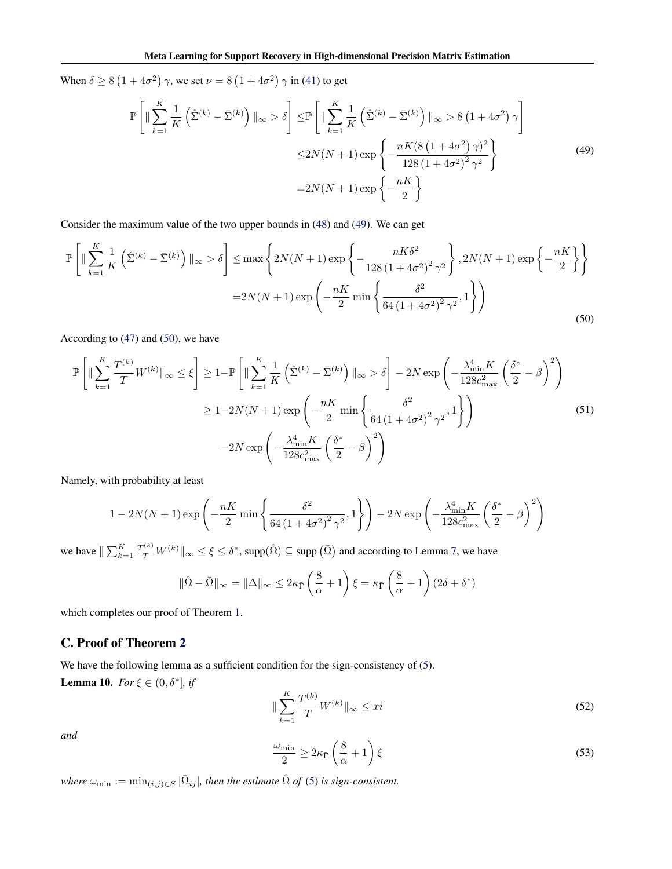<span id="page-8-0"></span>When  $\delta \ge 8(1+4\sigma^2)$   $\gamma$ , we set  $\nu = 8(1+4\sigma^2)$   $\gamma$  in [\(41\)](#page-6-0) to get

$$
\mathbb{P}\left[\|\sum_{k=1}^{K}\frac{1}{K}\left(\hat{\Sigma}^{(k)}-\bar{\Sigma}^{(k)}\right)\|_{\infty} > \delta\right] \leq \mathbb{P}\left[\|\sum_{k=1}^{K}\frac{1}{K}\left(\hat{\Sigma}^{(k)}-\bar{\Sigma}^{(k)}\right)\|_{\infty} > 8\left(1+4\sigma^{2}\right)\gamma\right] \\
\leq 2N(N+1)\exp\left\{-\frac{nK(8\left(1+4\sigma^{2}\right)\gamma)^{2}}{128\left(1+4\sigma^{2}\right)^{2}\gamma^{2}}\right\} \\
=2N(N+1)\exp\left\{-\frac{nK}{2}\right\} \tag{49}
$$

Consider the maximum value of the two upper bounds in [\(48\)](#page-7-0) and (49). We can get

$$
\mathbb{P}\left[\|\sum_{k=1}^{K} \frac{1}{K}\left(\hat{\Sigma}^{(k)} - \bar{\Sigma}^{(k)}\right)\|_{\infty} > \delta\right] \leq \max\left\{2N(N+1)\exp\left\{-\frac{nK\delta^2}{128\left(1 + 4\sigma^2\right)^2 \gamma^2}\right\}, 2N(N+1)\exp\left\{-\frac{nK}{2}\right\}\right\}
$$

$$
= 2N(N+1)\exp\left(-\frac{nK}{2}\min\left\{\frac{\delta^2}{64\left(1 + 4\sigma^2\right)^2 \gamma^2}, 1\right\}\right)
$$
(50)

According to [\(47\)](#page-7-0) and (50), we have

$$
\mathbb{P}\left[\|\sum_{k=1}^{K} \frac{T^{(k)}}{T} W^{(k)}\|_{\infty} \leq \xi\right] \geq 1 - \mathbb{P}\left[\|\sum_{k=1}^{K} \frac{1}{K} \left(\hat{\Sigma}^{(k)} - \bar{\Sigma}^{(k)}\right)\|_{\infty} > \delta\right] - 2N \exp\left(-\frac{\lambda_{\min}^{4} K}{128c_{\max}^{2}} \left(\frac{\delta^{*}}{2} - \beta\right)^{2}\right) \geq 1 - 2N(N+1) \exp\left(-\frac{nK}{2} \min\left\{\frac{\delta^{2}}{64\left(1 + 4\sigma^{2}\right)^{2} \gamma^{2}}, 1\right\}\right) \right)
$$
\n
$$
-2N \exp\left(-\frac{\lambda_{\min}^{4} K}{128c_{\max}^{2}} \left(\frac{\delta^{*}}{2} - \beta\right)^{2}\right) \tag{51}
$$

Namely, with probability at least

$$
1 - 2N(N+1)\exp\left(-\frac{nK}{2}\min\left\{\frac{\delta^2}{64\left(1+4\sigma^2\right)^2\gamma^2},1\right\}\right) - 2N\exp\left(-\frac{\lambda_{\min}^4 K}{128c_{\max}^2}\left(\frac{\delta^*}{2} - \beta\right)^2\right)
$$

we have  $\|\sum_{k=1}^K \frac{T^{(k)}}{T} W^{(k)} \|_\infty \le \xi \le \delta^*$ , supp $(\hat{\Omega}) \subseteq$  supp  $(\bar{\Omega})$  and according to Lemma [7,](#page-6-0) we have

$$
\|\hat{\Omega} - \bar{\Omega}\|_{\infty} = \|\Delta\|_{\infty} \leq 2\kappa_{\bar{\Gamma}} \left(\frac{8}{\alpha} + 1\right) \xi = \kappa_{\bar{\Gamma}} \left(\frac{8}{\alpha} + 1\right) (2\delta + \delta^*)
$$

which completes our proof of Theorem [1.](#page--1-0)

### C. Proof of Theorem [2](#page--1-0)

We have the following lemma as a sufficient condition for the sign-consistency of [\(5\)](#page--1-0). **Lemma 10.** *For*  $\xi \in (0, \delta^*]$ *, if* 

$$
\|\sum_{k=1}^{K} \frac{T^{(k)}}{T} W^{(k)}\|_{\infty} \leq x i \tag{52}
$$

*and*

$$
\frac{\omega_{\min}}{2} \ge 2\kappa_{\bar{\Gamma}} \left(\frac{8}{\alpha} + 1\right) \xi \tag{53}
$$

 $\omega_{\min} := \min_{(i,j) \in S} |\bar{\Omega}_{ij}|$ , then the estimate  $\hat{\Omega}$  of [\(5\)](#page--1-0) is sign-consistent.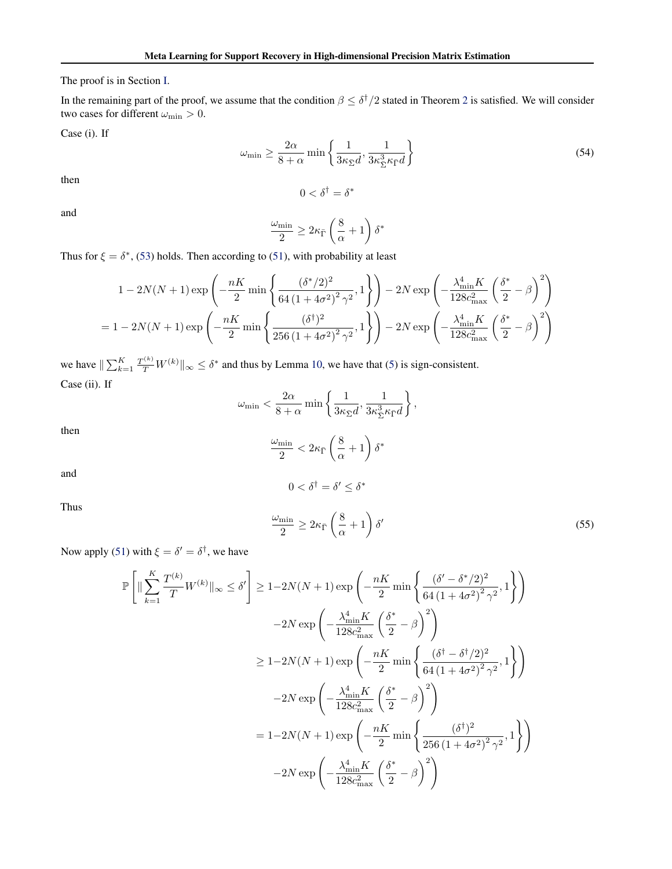The proof is in Section [I.](#page-20-0)

In the remaining part of the proof, we assume that the condition  $\beta \leq \delta^{\dagger}/2$  $\beta \leq \delta^{\dagger}/2$  stated in Theorem 2 is satisfied. We will consider two cases for different  $\omega_{\rm min}>0.$ 

Case (i). If

$$
\omega_{\min} \ge \frac{2\alpha}{8+\alpha} \min \left\{ \frac{1}{3\kappa_{\bar{\Sigma}}d}, \frac{1}{3\kappa_{\bar{\Sigma}}^3 \kappa_{\bar{\Gamma}}d} \right\} \tag{54}
$$

then

and

$$
\frac{\omega_{\min}}{2} \geq 2\kappa_{\bar{\Gamma}}\left(\frac{8}{\alpha}+1\right)\delta^*
$$

 $0<\delta^\dagger=\delta^*$ 

Thus for  $\xi = \delta^*$ , [\(53\)](#page-8-0) holds. Then according to [\(51\)](#page-8-0), with probability at least

$$
1 - 2N(N+1)\exp\left(-\frac{nK}{2}\min\left\{\frac{(\delta^*/2)^2}{64(1+4\sigma^2)^2\gamma^2},1\right\}\right) - 2N\exp\left(-\frac{\lambda_{\min}^4 K}{128c_{\max}^2}\left(\frac{\delta^*}{2} - \beta\right)^2\right)
$$
  
=  $1 - 2N(N+1)\exp\left(-\frac{nK}{2}\min\left\{\frac{(\delta^{\dagger})^2}{256(1+4\sigma^2)^2\gamma^2},1\right\}\right) - 2N\exp\left(-\frac{\lambda_{\min}^4 K}{128c_{\max}^2}\left(\frac{\delta^*}{2} - \beta\right)^2\right)$ 

we have  $\|\sum_{k=1}^K \frac{T^{(k)}}{T} W^{(k)}\|_{\infty} \le \delta^*$  and thus by Lemma [10,](#page-8-0) we have that [\(5\)](#page--1-0) is sign-consistent. Case (ii). If

$$
\omega_{\min} < \frac{2\alpha}{8+\alpha} \min \left\{ \frac{1}{3\kappa_{\bar{\Sigma}}d}, \frac{1}{3\kappa_{\bar{\Sigma}}^3 \kappa_{\bar{\Gamma}}d} \right\},
$$
\n
$$
\frac{\omega_{\min}}{2} < 2\kappa_{\bar{\Gamma}} \left( \frac{8}{\alpha} + 1 \right) \delta^*
$$

 $0<\delta^\dagger=\delta'\leq\delta^*$ 

then

and

Thus

$$
\frac{\omega_{\min}}{2} \ge 2\kappa_{\bar{\Gamma}} \left(\frac{8}{\alpha} + 1\right) \delta'
$$
\n(55)

Now apply [\(51\)](#page-8-0) with  $\xi = \delta' = \delta^{\dagger}$ , we have

$$
\begin{split} \mathbb{P}\left[\|\sum_{k=1}^{K}\frac{T^{(k)}}{T}W^{(k)}\|_{\infty} &\leq \delta'\right] &\geq 1-2N(N+1)\exp\left(-\frac{nK}{2}\min\left\{\frac{(\delta'-\delta^*/2)^2}{64\left(1+4\sigma^2\right)^2\gamma^2},1\right\}\right) \\ &-2N\exp\left(-\frac{\lambda_{\min}^4 K}{128c_{\max}^2}\left(\frac{\delta^*}{2}-\beta\right)^2\right) \\ &\geq 1-2N(N+1)\exp\left(-\frac{nK}{2}\min\left\{\frac{(\delta^\dagger-\delta^\dagger/2)^2}{64\left(1+4\sigma^2\right)^2\gamma^2},1\right\}\right) \\ &-2N\exp\left(-\frac{\lambda_{\min}^4 K}{128c_{\max}^2}\left(\frac{\delta^*}{2}-\beta\right)^2\right) \\ & =1-2N(N+1)\exp\left(-\frac{nK}{2}\min\left\{\frac{(\delta^\dagger)^2}{256\left(1+4\sigma^2\right)^2\gamma^2},1\right\}\right) \\ &-2N\exp\left(-\frac{\lambda_{\min}^4 K}{128c_{\max}^2}\left(\frac{\delta^*}{2}-\beta\right)^2\right) \end{split}
$$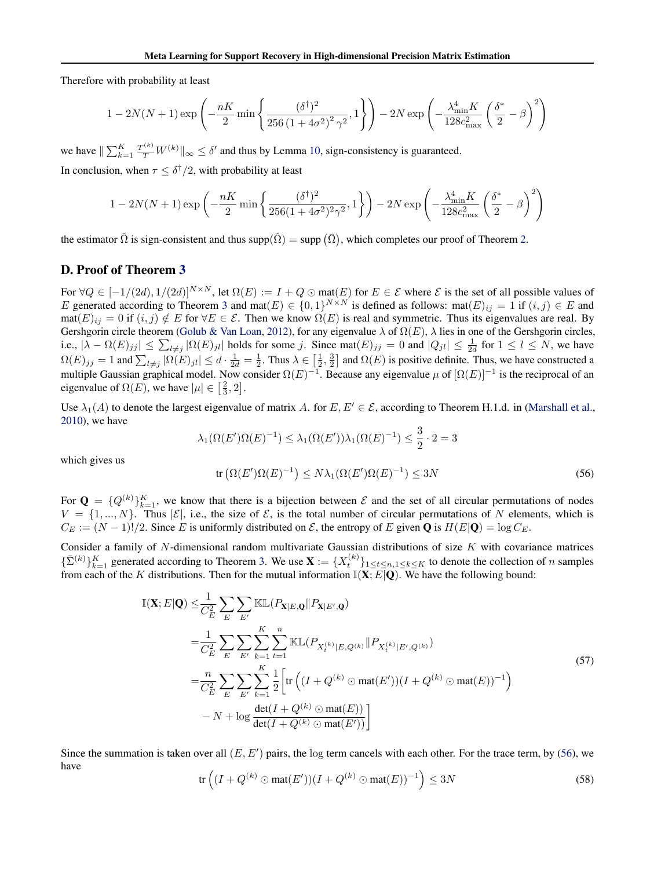<span id="page-10-0"></span>Therefore with probability at least

$$
1 - 2N(N+1)\exp\left(-\frac{nK}{2}\min\left\{\frac{(\delta^{\dagger})^2}{256\left(1+4\sigma^2\right)^2\gamma^2},1\right\}\right) - 2N\exp\left(-\frac{\lambda_{\min}^4 K}{128c_{\max}^2}\left(\frac{\delta^*}{2} - \beta\right)^2\right)
$$

we have  $\|\sum_{k=1}^K \frac{T^{(k)}}{T} W^{(k)} \|_{\infty} \le \delta'$  and thus by Lemma [10,](#page-8-0) sign-consistency is guaranteed.

In conclusion, when  $\tau \leq \delta^{\dagger}/2$ , with probability at least

$$
1 - 2N(N+1)\exp\left(-\frac{nK}{2}\min\left\{\frac{(\delta^{\dagger})^2}{256(1+4\sigma^2)^2\gamma^2},1\right\}\right) - 2N\exp\left(-\frac{\lambda_{\min}^4 K}{128c_{\max}^2}\left(\frac{\delta^*}{2} - \beta\right)^2\right)
$$

the estimator  $\hat{\Omega}$  is sign-consistent and thus supp $(\hat{\Omega}) = \sup p(\bar{\Omega})$ , which completes our proof of Theorem [2.](#page--1-0)

## D. Proof of Theorem [3](#page--1-0)

For  $\forall Q \in [-1/(2d), 1/(2d)]^{N \times N}$ , let  $\Omega(E) := I + Q \odot \text{mat}(E)$  for  $E \in \mathcal{E}$  where  $\mathcal{E}$  is the set of all possible values of E generated according to Theorem [3](#page--1-0) and mat $(E) \in \{0,1\}^{N \times N}$  is defined as follows: mat $(E)_{ij} = 1$  if  $(i, j) \in E$  and  $\text{mat}(E)_{ij} = 0$  if  $(i, j) \notin E$  for  $\forall E \in \mathcal{E}$ . Then we know  $\Omega(E)$  is real and symmetric. Thus its eigenvalues are real. By Gershgorin circle theorem [\(Golub & Van Loan,](#page--1-0) [2012\)](#page--1-0), for any eigenvalue  $\lambda$  of  $\Omega(E)$ ,  $\lambda$  lies in one of the Gershgorin circles, i.e.,  $|\lambda - \Omega(E)_{jj}| \leq \sum_{l \neq j} |\Omega(E)_{jl}|$  holds for some j. Since mat $(E)_{jj} = 0$  and  $|Q_{jl}| \leq \frac{1}{2d}$  for  $1 \leq l \leq N$ , we have  $\Omega(E)_{jj} = 1$  and  $\sum_{l \neq j} |\Omega(E)_{jl}| \leq d \cdot \frac{1}{2d} = \frac{1}{2}$ . Thus  $\lambda \in \left[\frac{1}{2}, \frac{3}{2}\right]$  and  $\Omega(E)$  is positive definite. Thus, we have constructed a multiple Gaussian graphical model. Now consider  $\Omega(E)^{-1}$ . Because any eigenvalue  $\mu$  of  $[\Omega(E)]^{-1}$  is the reciprocal of an eigenvalue of  $\Omega(E)$ , we have  $|\mu| \in \left[\frac{2}{3}, 2\right]$ .

Use  $\lambda_1(A)$  to denote the largest eigenvalue of matrix A. for  $E, E' \in \mathcal{E}$ , according to Theorem H.1.d. in [\(Marshall et al.,](#page--1-0) [2010\)](#page--1-0), we have

$$
\lambda_1(\Omega(E')\Omega(E)^{-1}) \leq \lambda_1(\Omega(E'))\lambda_1(\Omega(E)^{-1}) \leq \frac{3}{2} \cdot 2 = 3
$$

which gives us

$$
\operatorname{tr}\left(\Omega(E')\Omega(E)^{-1}\right) \le N\lambda_1(\Omega(E')\Omega(E)^{-1}) \le 3N\tag{56}
$$

For  $\mathbf{Q} = \{Q^{(k)}\}_{k=1}^K$ , we know that there is a bijection between  $\mathcal E$  and the set of all circular permutations of nodes  $V = \{1, ..., N\}$ . Thus  $|\mathcal{E}|$ , i.e., the size of  $\mathcal{E}$ , is the total number of circular permutations of N elements, which is  $C_E := (N-1)!/2$ . Since E is uniformly distributed on  $\mathcal{E}$ , the entropy of E given **Q** is  $H(E|\mathbf{Q}) = \log C_E$ .

Consider a family of  $N$ -dimensional random multivariate Gaussian distributions of size  $K$  with covariance matrices  $\{\bar{\Sigma}^{(k)}\}_{k=1}^K$  generated according to Theorem [3.](#page--1-0) We use  $\mathbf{X} := \{X_t^{(k)}\}_{1 \le t \le n, 1 \le k \le K}$  to denote the collection of n samples from each of the K distributions. Then for the mutual information  $\mathbb{I}(\mathbf{X}; E[\mathbf{Q})]$ . We have the following bound:

$$
\mathbb{I}(\mathbf{X}; E|\mathbf{Q}) \leq \frac{1}{C_E^2} \sum_{E} \sum_{E'} \mathbb{KL}(P_{\mathbf{X}|E,\mathbf{Q}} \| P_{\mathbf{X}|E',\mathbf{Q}})
$$
\n
$$
= \frac{1}{C_E^2} \sum_{E} \sum_{E'} \sum_{k=1}^{K} \sum_{t=1}^{n} \mathbb{KL}(P_{X_t^{(k)}|E,Q^{(k)}} \| P_{X_t^{(k)}|E',Q^{(k)}})
$$
\n
$$
= \frac{n}{C_E^2} \sum_{E} \sum_{E'} \sum_{k=1}^{K} \frac{1}{2} \left[ \text{tr} \left( (I + Q^{(k)} \odot \text{mat}(E')) (I + Q^{(k)} \odot \text{mat}(E))^{-1} \right) \right.
$$
\n
$$
- N + \log \frac{\text{det}(I + Q^{(k)} \odot \text{mat}(E'))}{\text{det}(I + Q^{(k)} \odot \text{mat}(E'))} \right]
$$
\n(57)

Since the summation is taken over all  $(E, E')$  pairs, the log term cancels with each other. For the trace term, by (56), we have

$$
\operatorname{tr}\left((I+Q^{(k)}\odot \operatorname{mat}(E'))(I+Q^{(k)}\odot \operatorname{mat}(E))^{-1}\right) \le 3N\tag{58}
$$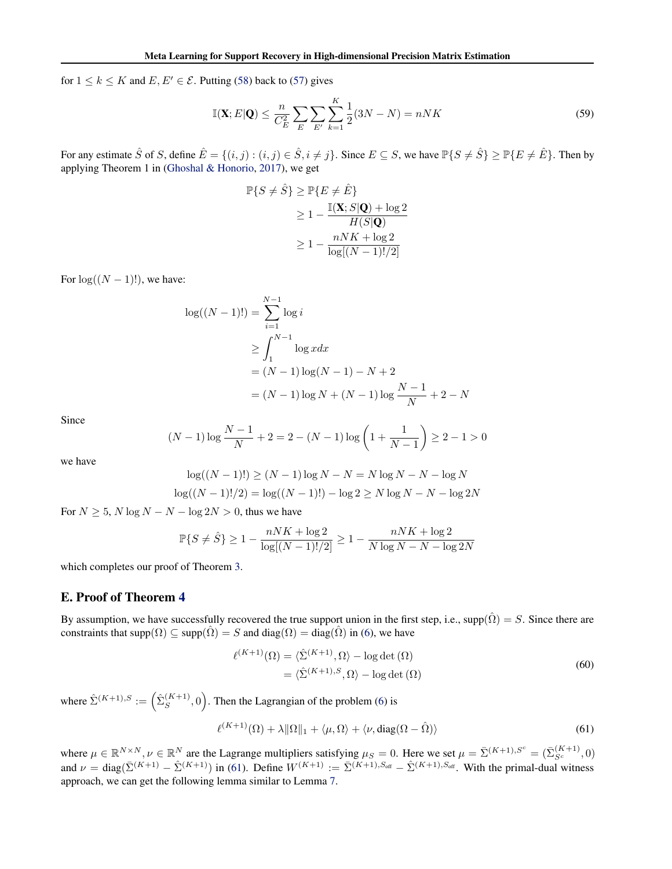<span id="page-11-0"></span>for  $1 \le k \le K$  and  $E, E' \in \mathcal{E}$ . Putting [\(58\)](#page-10-0) back to [\(57\)](#page-10-0) gives

$$
\mathbb{I}(\mathbf{X}; E|\mathbf{Q}) \le \frac{n}{C_E^2} \sum_{E} \sum_{E'} \sum_{k=1}^{K} \frac{1}{2} (3N - N) = nNK
$$
\n(59)

For any estimate  $\hat{S}$  of S, define  $\hat{E} = \{(i, j) : (i, j) \in \hat{S}, i \neq j\}$ . Since  $E \subseteq S$ , we have  $\mathbb{P}\{S \neq \hat{S}\} \geq \mathbb{P}\{E \neq \hat{E}\}\$ . Then by applying Theorem 1 in [\(Ghoshal & Honorio,](#page--1-0) [2017\)](#page--1-0), we get

$$
\mathbb{P}\{S \neq \hat{S}\} \geq \mathbb{P}\{E \neq \hat{E}\}
$$

$$
\geq 1 - \frac{\mathbb{I}(\mathbf{X}; S|\mathbf{Q}) + \log 2}{H(S|\mathbf{Q})}
$$

$$
\geq 1 - \frac{nNK + \log 2}{\log[(N-1)!/2]}
$$

For  $log((N - 1)!)$ , we have:

$$
\log((N-1)!) = \sum_{i=1}^{N-1} \log i
$$
  
\n
$$
\geq \int_{1}^{N-1} \log x dx
$$
  
\n
$$
= (N-1) \log(N-1) - N + 2
$$
  
\n
$$
= (N-1) \log N + (N-1) \log \frac{N-1}{N} + 2 - N
$$

Since

$$
(N-1)\log\frac{N-1}{N} + 2 = 2 - (N-1)\log\left(1 + \frac{1}{N-1}\right) \ge 2 - 1 > 0
$$

we have

$$
\log((N-1)!) \ge (N-1)\log N - N = N\log N - N - \log N
$$
  

$$
\log((N-1)!/2) = \log((N-1)!) - \log 2 \ge N\log N - N - \log 2N
$$

For  $N \ge 5$ ,  $N \log N - N - \log 2N > 0$ , thus we have

$$
\mathbb{P}\{S \neq \hat{S}\} \ge 1 - \frac{nNK + \log 2}{\log[(N-1)!/2]} \ge 1 - \frac{nNK + \log 2}{N \log N - N - \log 2N}
$$

which completes our proof of Theorem [3.](#page--1-0)

## E. Proof of Theorem [4](#page--1-0)

By assumption, we have successfully recovered the true support union in the first step, i.e., supp( $\hat{\Omega}$ ) =  $S$ . Since there are constraints that supp $(\Omega) \subseteq \text{supp}(\hat{\Omega}) = S$  and  $\text{diag}(\Omega) = \text{diag}(\hat{\Omega})$  in [\(6\)](#page--1-0), we have

$$
\ell^{(K+1)}(\Omega) = \langle \hat{\Sigma}^{(K+1)}, \Omega \rangle - \log \det (\Omega)
$$
  
=  $\langle \hat{\Sigma}^{(K+1), S}, \Omega \rangle - \log \det (\Omega)$  (60)

where  $\hat{\Sigma}^{(K+1),S} := \left(\hat{\Sigma}_{S}^{(K+1)}\right)$  $S<sub>S</sub><sup>(K+1)</sup>,0$ . Then the Lagrangian of the problem [\(6\)](#page--1-0) is

$$
\ell^{(K+1)}(\Omega) + \lambda \|\Omega\|_1 + \langle \mu, \Omega \rangle + \langle \nu, \text{diag}(\Omega - \hat{\Omega}) \rangle \tag{61}
$$

where  $\mu \in \mathbb{R}^{N \times N}$ ,  $\nu \in \mathbb{R}^N$  are the Lagrange multipliers satisfying  $\mu_S = 0$ . Here we set  $\mu = \overline{\Sigma}^{(K+1), S^c} = (\overline{\Sigma}_{S^c}^{(K+1)}, 0)$ and  $\nu = \text{diag}(\bar{\Sigma}^{(K+1)} - \hat{\Sigma}^{(K+1)})$  in (61). Define  $W^{(K+1)} := \bar{\Sigma}^{(K+1), S_{\text{off}}} - \hat{\Sigma}^{(K+1), S_{\text{off}}}$ . With the primal-dual witness approach, we can get the following lemma similar to Lemma [7.](#page-6-0)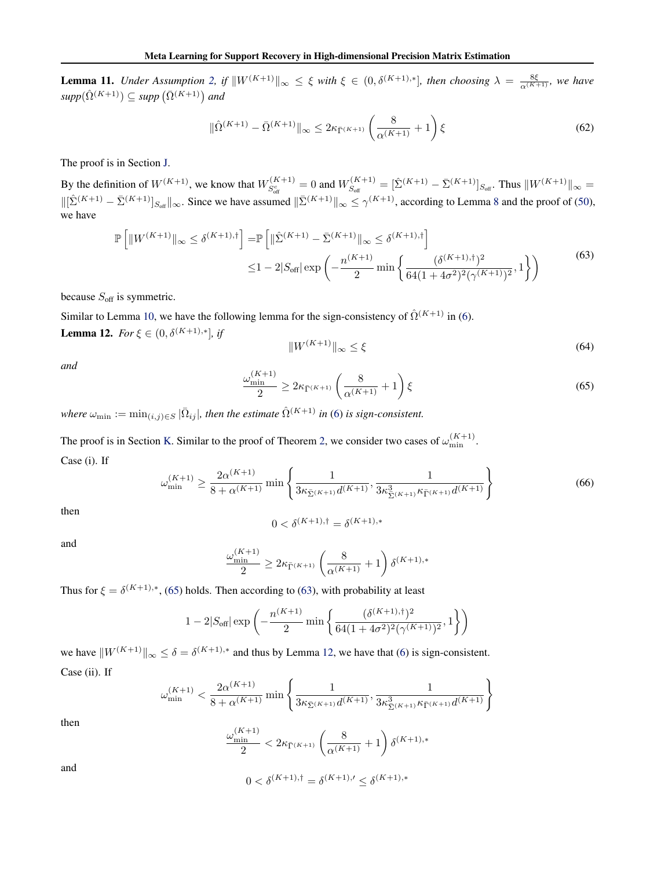<span id="page-12-0"></span>**Lemma 11.** *Under Assumption [2,](#page--1-0) if*  $||W^{(K+1)}||_{\infty} \leq \xi$  *with*  $\xi \in (0, \delta^{(K+1),*}]$ *, then choosing*  $\lambda = \frac{8\xi}{\alpha^{(K+1)}}$ *, we have*  $supp(\hat{\Omega}^{(K+1)}) \subseteq supp(\bar{\Omega}^{(K+1)})$  and

$$
\|\hat{\Omega}^{(K+1)} - \bar{\Omega}^{(K+1)}\|_{\infty} \le 2\kappa_{\bar{\Gamma}^{(K+1)}} \left(\frac{8}{\alpha^{(K+1)}} + 1\right) \xi
$$
\n(62)

The proof is in Section [J.](#page-21-0)

By the definition of  $W^{(K+1)}$ , we know that  $W_{S_{\text{off}}}^{(K+1)} = 0$  and  $W_{S_{\text{off}}}^{(K+1)}$  $S_{\text{off}}^{(K+1)} = [\hat{\Sigma}^{(K+1)} - \bar{\Sigma}^{(K+1)}]_{S_{\text{off}}}$ . Thus  $||W^{(K+1)}||_{\infty} =$  $\|\left[\hat{\Sigma}^{(K+1)} - \bar{\Sigma}^{(K+1)}\right]_{S_{\text{off}}} \|_{\infty}$ . Since we have assumed  $\|\bar{\Sigma}^{(K+1)}\|_{\infty} \le \gamma^{(K+1)}$ , according to Lemma [8](#page-6-0) and the proof of [\(50\)](#page-8-0), we have

$$
\mathbb{P}\left[\|W^{(K+1)}\|_{\infty} \leq \delta^{(K+1),\dagger}\right] = \mathbb{P}\left[\|\hat{\Sigma}^{(K+1)} - \bar{\Sigma}^{(K+1)}\|_{\infty} \leq \delta^{(K+1),\dagger}\right] \leq 1 - 2|S_{\text{off}}| \exp\left(-\frac{n^{(K+1)}}{2}\min\left\{\frac{(\delta^{(K+1),\dagger})^2}{64(1+4\sigma^2)^2(\gamma^{(K+1)})^2},1\right\}\right)
$$
(63)

because  $S_{\text{off}}$  is symmetric.

Similar to Lemma [10,](#page-8-0) we have the following lemma for the sign-consistency of  $\hat{\Omega}^{(K+1)}$  in [\(6\)](#page--1-0). **Lemma 12.** *For*  $\xi \in (0, \delta^{(K+1),*}],$  *if* 

$$
||W^{(K+1)}||_{\infty} \le \xi \tag{64}
$$

*and*

$$
\frac{\omega_{\min}^{(K+1)}}{2} \ge 2\kappa_{\bar{\Gamma}^{(K+1)}} \left(\frac{8}{\alpha^{(K+1)}} + 1\right) \xi \tag{65}
$$

*where*  $\omega_{\min} := \min_{(i,j) \in S} |\bar{\Omega}_{ij}|$ , then the estimate  $\hat{\Omega}^{(K+1)}$  in [\(6\)](#page--1-0) is sign-consistent.

The proof is in Section [K.](#page-22-0) Similar to the proof of Theorem [2,](#page--1-0) we consider two cases of  $\omega_{\min}^{(K+1)}$ . Case (i). If

$$
\omega_{\min}^{(K+1)} \ge \frac{2\alpha^{(K+1)}}{8 + \alpha^{(K+1)}} \min \left\{ \frac{1}{3\kappa_{\bar{\Sigma}^{(K+1)}} d^{(K+1)}} , \frac{1}{3\kappa_{\bar{\Sigma}^{(K+1)}}^3 \kappa_{\bar{\Gamma}^{(K+1)}} d^{(K+1)}} \right\}
$$
(66)

then

$$
0 < \delta^{(K+1), \dagger} = \delta^{(K+1), *}
$$

and

$$
\frac{\omega_{\min}^{(K+1)}}{2} \ge 2\kappa_{\bar{\Gamma}^{(K+1)}} \left(\frac{8}{\alpha^{(K+1)}} + 1\right) \delta^{(K+1),*}
$$

Thus for  $\xi = \delta^{(K+1), *}$ , (65) holds. Then according to (63), with probability at least

$$
1 - 2|S_{\text{off}}| \exp\left(-\frac{n^{(K+1)}}{2}\min\left\{\frac{(\delta^{(K+1),\dagger})^2}{64(1+4\sigma^2)^2(\gamma^{(K+1)})^2},1\right\}\right)
$$

we have  $||W^{(K+1)}||_{\infty} \leq \delta = \delta^{(K+1),*}$  and thus by Lemma 12, we have that [\(6\)](#page--1-0) is sign-consistent. Case (ii). If

$$
\omega_{\min}^{(K+1)} < \frac{2\alpha^{(K+1)}}{8 + \alpha^{(K+1)}} \min\left\{ \frac{1}{3\kappa_{\bar{\Sigma}^{(K+1)}} d^{(K+1)}}, \frac{1}{3\kappa_{\bar{\Sigma}^{(K+1)}}^3 \kappa_{\bar{\Gamma}^{(K+1)}} d^{(K+1)}} \right\}
$$

then

$$
\frac{\omega_{\min}^{(K+1)}}{2} < 2\kappa_{\bar{\Gamma}^{(K+1)}}\left(\frac{8}{\alpha^{(K+1)}}+1\right)\delta^{(K+1),*}
$$

and

$$
0 < \delta^{(K+1), \dagger} = \delta^{(K+1), \prime} \leq \delta^{(K+1), *}
$$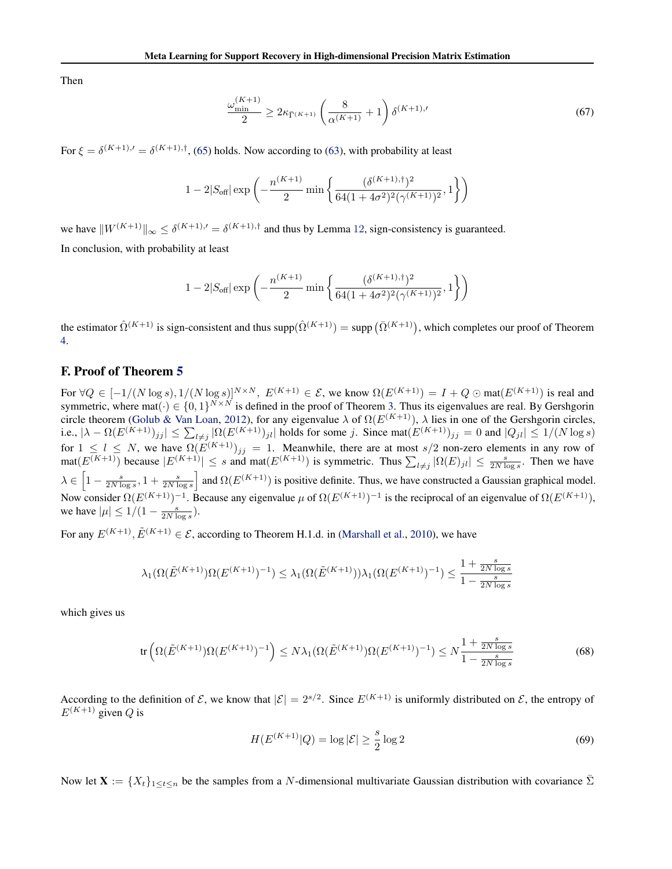<span id="page-13-0"></span>Then

$$
\frac{\omega_{\min}^{(K+1)}}{2} \ge 2\kappa_{\bar{\Gamma}^{(K+1)}} \left(\frac{8}{\alpha^{(K+1)}} + 1\right) \delta^{(K+1),\prime} \tag{67}
$$

For  $\xi = \delta^{(K+1),}{}' = \delta^{(K+1),}{}'$ , [\(65\)](#page-12-0) holds. Now according to [\(63\)](#page-12-0), with probability at least

$$
1-2|S_{\rm off}|\exp\left(-\frac{n^{(K+1)}}{2}\min\left\{\frac{(\delta^{(K+1),\dagger})^2}{64(1+4\sigma^2)^2(\gamma^{(K+1)})^2},1\right\}\right)
$$

we have  $||W^{(K+1)}||_{\infty} \leq \delta^{(K+1),}$  =  $\delta^{(K+1),}$  and thus by Lemma [12](#page-12-0), sign-consistency is guaranteed. In conclusion, with probability at least

$$
1-2|S_{\text{off}}|\exp\left(-\frac{n^{(K+1)}}{2}\min\left\{\frac{(\delta^{(K+1),\dagger})^2}{64(1+4\sigma^2)^2(\gamma^{(K+1)})^2},1\right\}\right)
$$

the estimator  $\hat{\Omega}^{(K+1)}$  is sign-consistent and thus supp $(\hat{\Omega}^{(K+1)})$  = supp  $(\bar{\Omega}^{(K+1)})$ , which completes our proof of Theorem [4.](#page--1-0)

# F. Proof of Theorem [5](#page--1-0)

For  $\forall Q \in [-1/(N \log s), 1/(N \log s)]^{N \times N}$ ,  $E^{(K+1)} \in \mathcal{E}$ , we know  $\Omega(E^{(K+1)}) = I + Q \odot \text{mat}(E^{(K+1)})$  is real and symmetric, where mat $(\cdot) \in \{0,1\}^{N \times N}$  is defined in the proof of Theorem [3.](#page--1-0) Thus its eigenvalues are real. By Gershgorin circle theorem [\(Golub & Van Loan,](#page--1-0) [2012\)](#page--1-0), for any eigenvalue  $\lambda$  of  $\Omega(E^{(K+1)})$ ,  $\lambda$  lies in one of the Gershgorin circles, i.e.,  $|\lambda - \Omega(E^{(K+1)})_{jj}| \le \sum_{l \ne j} |\Omega(E^{(K+1)})_{jl}|$  holds for some j. Since mat $(E^{(K+1)})_{jj} = 0$  and  $|Q_{jl}| \le 1/(N \log s)$ for  $1 \leq l \leq N$ , we have  $\Omega(E^{(K+1)})_{jj} = 1$ . Meanwhile, there are at most  $s/2$  non-zero elements in any row of  $\text{mat}(E^{(K+1)})$  because  $|E^{(K+1)}| \leq s$  and mat $(E^{(K+1)})$  is symmetric. Thus  $\sum_{l \neq j} |\Omega(E)_{jl}| \leq \frac{s}{2N \log s}$ . Then we have  $\lambda \in \left[1 - \frac{s}{2N \log s}, 1 + \frac{s}{2N \log s}\right]$  and  $\Omega(E^{(K+1)})$  is positive definite. Thus, we have constructed a Gaussian graphical model. Now consider  $\Omega(E^{(K+1)})^{-1}$ . Because any eigenvalue  $\mu$  of  $\Omega(E^{(K+1)})^{-1}$  is the reciprocal of an eigenvalue of  $\Omega(E^{(K+1)})$ , we have  $|\mu| \le 1/(1 - \frac{s}{2N \log s})$ .

For any  $E^{(K+1)}$ ,  $\tilde{E}^{(K+1)} \in \mathcal{E}$ , according to Theorem H.1.d. in [\(Marshall et al.,](#page--1-0) [2010\)](#page--1-0), we have

$$
\lambda_1(\Omega(\tilde{E}^{(K+1)})\Omega(E^{(K+1)})^{-1}) \leq \lambda_1(\Omega(\tilde{E}^{(K+1)}))\lambda_1(\Omega(E^{(K+1)})^{-1}) \leq \frac{1 + \frac{s}{2N\log s}}{1 - \frac{s}{2N\log s}}
$$

which gives us

$$
\operatorname{tr}\left(\Omega(\tilde{E}^{(K+1)})\Omega(E^{(K+1)})^{-1}\right) \le N\lambda_1(\Omega(\tilde{E}^{(K+1)})\Omega(E^{(K+1)})^{-1}) \le N\frac{1+\frac{s}{2N\log s}}{1-\frac{s}{2N\log s}}\tag{68}
$$

According to the definition of  $\mathcal{E}$ , we know that  $|\mathcal{E}| = 2^{s/2}$ . Since  $E^{(K+1)}$  is uniformly distributed on  $\mathcal{E}$ , the entropy of  $E^{(K+1)}$  given Q is

$$
H(E^{(K+1)}|Q) = \log |\mathcal{E}| \ge \frac{s}{2} \log 2
$$
\n(69)

Now let  $X := \{X_t\}_{1 \le t \le n}$  be the samples from a N-dimensional multivariate Gaussian distribution with covariance  $\bar{\Sigma}$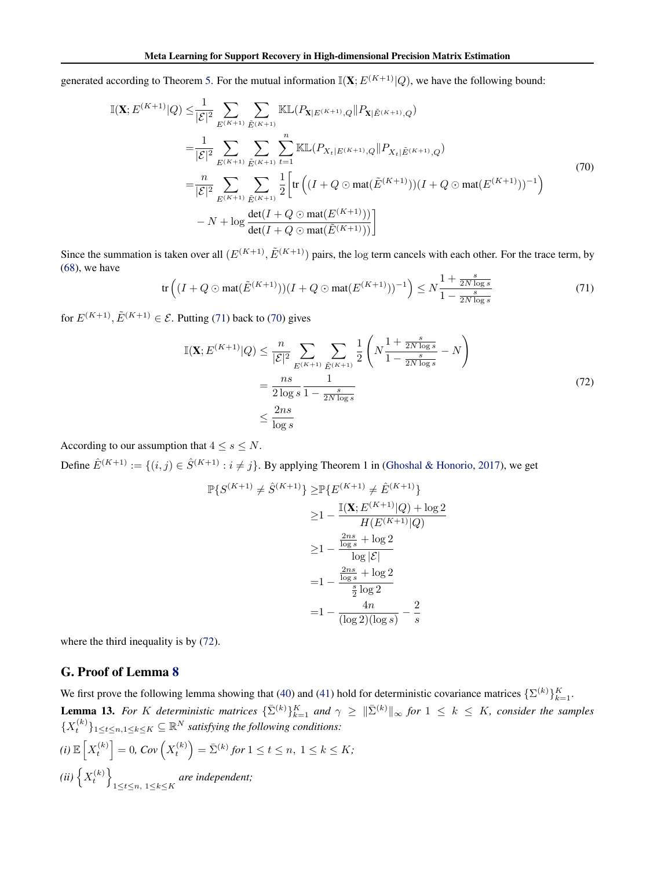<span id="page-14-0"></span>generated according to Theorem [5.](#page--1-0) For the mutual information  $\mathbb{I}(\mathbf{X}; E^{(K+1)}|Q)$ , we have the following bound:

$$
\mathbb{I}(\mathbf{X}; E^{(K+1)}|Q) \leq \frac{1}{|\mathcal{E}|^2} \sum_{E^{(K+1)}} \sum_{\tilde{E}^{(K+1)}} \mathbb{KL}(P_{\mathbf{X}|E^{(K+1)},Q} || P_{\mathbf{X}|\tilde{E}^{(K+1)},Q})
$$
\n
$$
= \frac{1}{|\mathcal{E}|^2} \sum_{E^{(K+1)}} \sum_{\tilde{E}^{(K+1)}} \sum_{\tilde{E}^{(K+1)}} \sum_{t=1}^n \mathbb{KL}(P_{X_t|E^{(K+1)},Q} || P_{X_t|\tilde{E}^{(K+1)},Q})
$$
\n
$$
= \frac{n}{|\mathcal{E}|^2} \sum_{E^{(K+1)}} \sum_{\tilde{E}^{(K+1)}} \frac{1}{2} \left[ \text{tr} \left( (I + Q \odot \text{mat}(\tilde{E}^{(K+1)})) (I + Q \odot \text{mat}(E^{(K+1)}))^{-1} \right) \right.
$$
\n
$$
- N + \log \frac{\text{det}(I + Q \odot \text{mat}(E^{(K+1)}))}{\text{det}(I + Q \odot \text{mat}(\tilde{E}^{(K+1)}))} \right]
$$
\n(70)

Since the summation is taken over all  $(E^{(K+1)}, \tilde{E}^{(K+1)})$  pairs, the log term cancels with each other. For the trace term, by  $(68)$ , we have

$$
\text{tr}\left((I+Q\odot\text{mat}(\tilde{E}^{(K+1)}))(I+Q\odot\text{mat}(E^{(K+1)}))^{-1}\right) \leq N\frac{1+\frac{s}{2N\log s}}{1-\frac{s}{2N\log s}}\tag{71}
$$

for  $E^{(K+1)}$ ,  $\tilde{E}^{(K+1)} \in \mathcal{E}$ . Putting (71) back to (70) gives

$$
\mathbb{I}(\mathbf{X}; E^{(K+1)}|Q) \le \frac{n}{|\mathcal{E}|^2} \sum_{E^{(K+1)}} \sum_{\tilde{E}^{(K+1)}} \frac{1}{2} \left( N \frac{1 + \frac{s}{2N \log s}}{1 - \frac{s}{2N \log s}} - N \right)
$$
  
= 
$$
\frac{ns}{2 \log s} \frac{1}{1 - \frac{s}{2N \log s}}
$$
  

$$
\le \frac{2ns}{\log s}
$$
 (72)

According to our assumption that  $4 \leq s \leq N$ .

Define  $\hat{E}^{(K+1)} := \{(i, j) \in \hat{S}^{(K+1)} : i \neq j\}$ . By applying Theorem 1 in [\(Ghoshal & Honorio,](#page--1-0) [2017\)](#page--1-0), we get

$$
\mathbb{P}\{S^{(K+1)} \neq \hat{S}^{(K+1)}\} \geq \mathbb{P}\{E^{(K+1)} \neq \hat{E}^{(K+1)}\}\n\n\geq 1 - \frac{\mathbb{I}(\mathbf{X}; E^{(K+1)}|Q) + \log 2}{H(E^{(K+1)}|Q)}\n\n\geq 1 - \frac{\frac{2ns}{\log s} + \log 2}{\log |\mathcal{E}|}\n\n= 1 - \frac{\frac{2ns}{\log s} + \log 2}{\frac{s}{2}\log 2}\n\n= 1 - \frac{4n}{(\log 2)(\log s)} - \frac{2}{s}
$$

where the third inequality is by (72).

# G. Proof of Lemma [8](#page-6-0)

We first prove the following lemma showing that [\(40\)](#page-6-0) and [\(41\)](#page-6-0) hold for deterministic covariance matrices  $\{\Sigma^{(k)}\}_{k=1}^K$ . **Lemma 13.** For K deterministic matrices  $\{\bar{\Sigma}^{(k)}\}_{k=1}^K$  and  $\gamma \geq \|\bar{\Sigma}^{(k)}\|_{\infty}$  for  $1 \leq k \leq K$ , consider the samples  ${X_t^{(k)}}_{1 \le t \le n, 1 \le k \le K} \subseteq \mathbb{R}^N$  *satisfying the following conditions:*  $f(i) \mathbb{E}\left[X_t^{(k)}\right] = 0$ ,  $Cov\left(X_t^{(k)}\right) = \bar{\Sigma}^{(k)}$  for  $1 \le t \le n, \ 1 \le k \le K;$  $(ii) \left\{ X_t^{(k)} \right\}$ 1≤t≤n, 1≤k≤K *are independent;*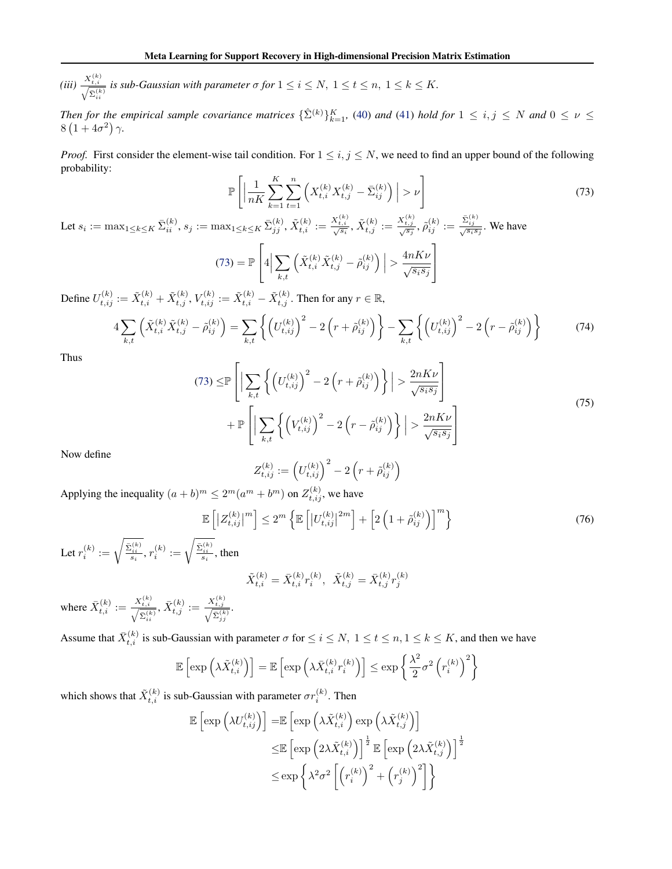<span id="page-15-0"></span>(*iii*)  $\frac{X_{t,i}^{(k)}}{\sqrt{\sum_{i=1}^{(k)}}}$  is sub-Gaussian with parameter  $\sigma$  for  $1 \leq i \leq N, 1 \leq t \leq n, 1 \leq k \leq K$ . ii

*Then for the empirical sample covariance matrices*  $\{\hat{\Sigma}^{(k)}\}_{k=1}^K$ , [\(40\)](#page-6-0) *and* [\(41\)](#page-6-0) *hold for*  $1 \le i, j \le N$  *and*  $0 \le \nu \le$  $8(1+4\sigma^2)\gamma$ .

*Proof.* First consider the element-wise tail condition. For  $1 \le i, j \le N$ , we need to find an upper bound of the following probability:

$$
\mathbb{P}\left[\left|\frac{1}{nK}\sum_{k=1}^{K}\sum_{t=1}^{n}\left(X_{t,i}^{(k)}X_{t,j}^{(k)} - \bar{\Sigma}_{ij}^{(k)}\right)\right| > \nu\right] \tag{73}
$$

Let  $s_i := \max_{1 \le k \le K} \bar{\Sigma}_{ii}^{(k)}, s_j := \max_{1 \le k \le K} \bar{\Sigma}_{jj}^{(k)}, \tilde{X}_{t,i}^{(k)} := \frac{X_{t,i}^{(k)}}{\sqrt{s_i}}, \tilde{X}_{t,j}^{(k)} := \frac{X_{t,j}^{(k)}}{\sqrt{s_j}} , \tilde{\rho}_{ij}^{(k)} := \frac{\bar{\Sigma}_{ij}^{(k)}}{\sqrt{s_i s_j}}.$  We have  $(73) = \mathbb{P}$  $\lceil$ 4     $\sum$  $_{k,t}$  $\left.\left(\tilde{X}_{t,i}^{(k)}\tilde{X}_{t,j}^{(k)}-\tilde{\rho}_{ij}^{(k)}\right)\right|>\frac{4nK\nu}{\sqrt{s_is_j}}$ 1  $\perp$ 

Define  $U_{t,ij}^{(k)}:=\tilde{X}_{t,i}^{(k)}+\tilde{X}_{t,j}^{(k)},$   $V_{t,ij}^{(k)}:=\tilde{X}_{t,i}^{(k)}-\tilde{X}_{t,j}^{(k)}.$  Then for any  $r\in\mathbb{R},$ 

**T** 

$$
4\sum_{k,t} \left( \tilde{X}_{t,i}^{(k)} \tilde{X}_{t,j}^{(k)} - \tilde{\rho}_{ij}^{(k)} \right) = \sum_{k,t} \left\{ \left( U_{t,ij}^{(k)} \right)^2 - 2 \left( r + \tilde{\rho}_{ij}^{(k)} \right) \right\} - \sum_{k,t} \left\{ \left( U_{t,ij}^{(k)} \right)^2 - 2 \left( r - \tilde{\rho}_{ij}^{(k)} \right) \right\} \tag{74}
$$

Thus

$$
(73) \leq \mathbb{P}\left[\left|\sum_{k,t}\left\{\left(U_{t,ij}^{(k)}\right)^2 - 2\left(r+\tilde{\rho}_{ij}^{(k)}\right)\right\}\right| > \frac{2nK\nu}{\sqrt{s_is_j}}\right] + \mathbb{P}\left[\left|\sum_{k,t}\left\{\left(V_{t,ij}^{(k)}\right)^2 - 2\left(r-\tilde{\rho}_{ij}^{(k)}\right)\right\}\right| > \frac{2nK\nu}{\sqrt{s_is_j}}\right]
$$
\n(75)

Now define

$$
Z_{t,ij}^{(k)}:=\left(U_{t,ij}^{(k)}\right)^2-2\left(r+\tilde{\rho}_{ij}^{(k)}\right)
$$

Applying the inequality  $(a + b)^m \le 2^m(a^m + b^m)$  on  $Z_{t, ij}^{(k)}$ , we have

$$
\mathbb{E}\left[\left|Z_{t,ij}^{(k)}\right|^m\right] \le 2^m \left\{\mathbb{E}\left[\left|U_{t,ij}^{(k)}\right|^{2m}\right] + \left[2\left(1+\tilde{\rho}_{ij}^{(k)}\right)\right]^m\right\} \tag{76}
$$

Let  $r_i^{(k)} := \sqrt{\frac{\bar{\Sigma}_{ii}^{(k)}}{s_i}}$ ,  $r_i^{(k)} := \sqrt{\frac{\bar{\Sigma}_{ii}^{(k)}}{s_i}}$ , then

$$
\tilde{X}_{t,i}^{(k)} = \bar{X}_{t,i}^{(k)} r_i^{(k)}, \ \ \tilde{X}_{t,j}^{(k)} = \bar{X}_{t,j}^{(k)} r_j^{(k)}
$$

where  $\bar{X}_{t,i}^{(k)} := \frac{X_{t,i}^{(k)}}{\sqrt{\bar{\Sigma}_{i,i}^{(k)}}}$ ,  $\bar{X}_{t,j}^{(k)} := \frac{X_{t,j}^{(k)}}{\sqrt{\bar{\Sigma}_{jj}^{(k)}}}$ .

Assume that  $\bar{X}_{t,i}^{(k)}$  is sub-Gaussian with parameter  $\sigma$  for  $\leq i \leq N$ ,  $1 \leq t \leq n, 1 \leq k \leq K$ , and then we have

$$
\mathbb{E}\left[\exp\left(\lambda \tilde{X}_{t,i}^{(k)}\right)\right] = \mathbb{E}\left[\exp\left(\lambda \bar{X}_{t,i}^{(k)} r_i^{(k)}\right)\right] \le \exp\left\{\frac{\lambda^2}{2} \sigma^2 \left(r_i^{(k)}\right)^2\right\}
$$

which shows that  $\tilde{X}_{t,i}^{(k)}$  is sub-Gaussian with parameter  $\sigma r_i^{(k)}$ . Then

$$
\mathbb{E}\left[\exp\left(\lambda U_{t,ij}^{(k)}\right)\right] = \mathbb{E}\left[\exp\left(\lambda \tilde{X}_{t,i}^{(k)}\right) \exp\left(\lambda \tilde{X}_{t,j}^{(k)}\right)\right]
$$
  

$$
\leq \mathbb{E}\left[\exp\left(2\lambda \tilde{X}_{t,i}^{(k)}\right)\right]^{\frac{1}{2}} \mathbb{E}\left[\exp\left(2\lambda \tilde{X}_{t,j}^{(k)}\right)\right]^{\frac{1}{2}}
$$
  

$$
\leq \exp\left\{\lambda^2 \sigma^2 \left[\left(r_i^{(k)}\right)^2 + \left(r_j^{(k)}\right)^2\right]\right\}
$$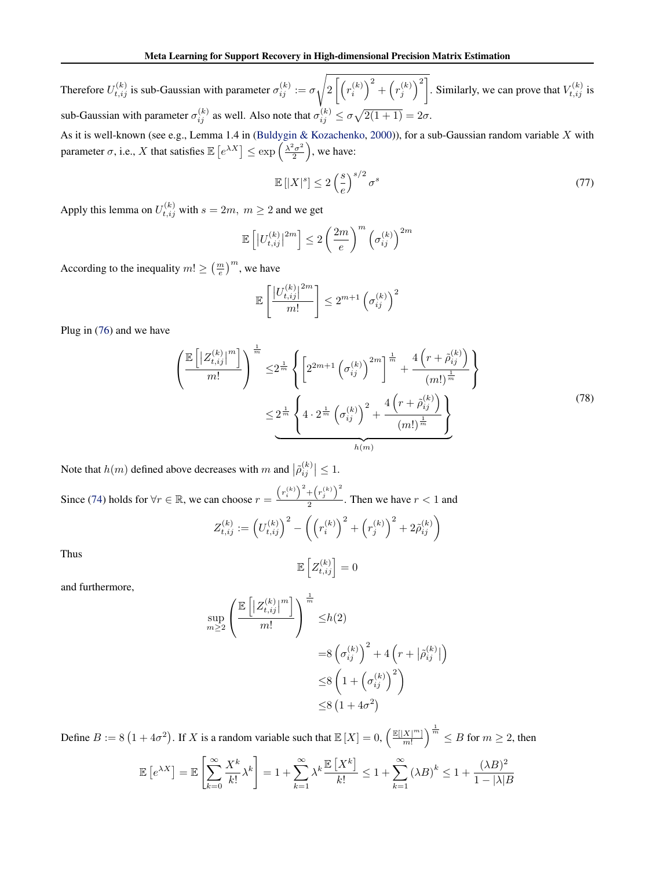Therefore  $U_{t,ij}^{(k)}$  is sub-Gaussian with parameter  $\sigma_{ij}^{(k)} := \sigma$  $\sqrt{2}$  $2\left[\left(r_i^{(k)}\right)^2 + \left(r_j^{(k)}\right)^2\right]$ . Similarly, we can prove that  $V_{t,ij}^{(k)}$  is sub-Gaussian with parameter  $\sigma_{ij}^{(k)}$  as well. Also note that  $\sigma_{ij}^{(k)} \le \sigma \sqrt{2(1+1)} = 2\sigma$ .

As it is well-known (see e.g., Lemma 1.4 in [\(Buldygin & Kozachenko,](#page--1-0) [2000\)](#page--1-0)), for a sub-Gaussian random variable X with parameter  $\sigma$ , i.e., X that satisfies  $\mathbb{E}\left[e^{\lambda X}\right] \leq \exp\left(\frac{\lambda^2 \sigma^2}{2}\right)$  $\left(\frac{2}{2}^2\right)$ , we have:

$$
\mathbb{E}\left[|X|^s\right] \le 2\left(\frac{s}{e}\right)^{s/2}\sigma^s\tag{77}
$$

Apply this lemma on  $U_{t,ij}^{(k)}$  with  $s = 2m, m \ge 2$  and we get

$$
\mathbb{E}\left[\left|U_{t,ij}^{(k)}\right|^{2m}\right] \leq 2\left(\frac{2m}{e}\right)^m \left(\sigma_{ij}^{(k)}\right)^{2m}
$$

According to the inequality  $m! \geq \left(\frac{m}{e}\right)^m$ , we have

$$
\mathbb{E}\left[\frac{\left|U_{t,ij}^{(k)}\right|^{2m}}{m!}\right] \leq 2^{m+1} \left(\sigma_{ij}^{(k)}\right)^2
$$

Plug in [\(76\)](#page-15-0) and we have

$$
\frac{\left(\mathbb{E}\left[\left|Z_{t,ij}^{(k)}\right|^m\right]}{m!}\right)^{\frac{1}{m}} \leq 2^{\frac{1}{m}} \left\{ \left[2^{2m+1} \left(\sigma_{ij}^{(k)}\right)^{2m} \right]^{\frac{1}{m}} + \frac{4\left(r+\tilde{\rho}_{ij}^{(k)}\right)}{(m!)^{\frac{1}{m}}} \right\}
$$
\n
$$
\leq 2^{\frac{1}{m}} \left\{ 4 \cdot 2^{\frac{1}{m}} \left(\sigma_{ij}^{(k)}\right)^{2} + \frac{4\left(r+\tilde{\rho}_{ij}^{(k)}\right)}{(m!)^{\frac{1}{m}}} \right\}
$$
\n
$$
(78)
$$

Note that  $h(m)$  defined above decreases with m and  $|\tilde{\rho}_{ij}^{(k)}| \leq 1$ .

Since [\(74\)](#page-15-0) holds for  $\forall r \in \mathbb{R}$ , we can choose  $r = \frac{(r_i^{(k)})^2 + (r_j^{(k)})^2}{2}$  $\frac{1}{2}$ . Then we have  $r < 1$  and

$$
Z_{t,ij}^{(k)} := (U_{t,ij}^{(k)})^2 - ((r_i^{(k)})^2 + (r_j^{(k)})^2 + 2\tilde{\rho}_{ij}^{(k)})
$$
  

$$
\mathbb{E}[\sigma^{(k)}] = 0
$$

Thus

 $\mathbb{E}\left[Z_{t,ij}^{(k)}\right]=0$ 

and furthermore,

$$
\sup_{m\geq 2} \left( \frac{\mathbb{E}\left[ \left| Z_{t,ij}^{(k)} \right|^m \right]}{m!} \right)^{\frac{1}{m}} \leq h(2)
$$
  

$$
= 8 \left( \sigma_{ij}^{(k)} \right)^2 + 4 \left( r + \left| \tilde{\rho}_{ij}^{(k)} \right| \right)
$$
  

$$
\leq 8 \left( 1 + \left( \sigma_{ij}^{(k)} \right)^2 \right)
$$
  

$$
\leq 8 \left( 1 + 4\sigma^2 \right)
$$

Define  $B := 8(1 + 4\sigma^2)$ . If X is a random variable such that  $\mathbb{E}[X] = 0$ ,  $\left(\frac{\mathbb{E}[|X|^m]}{m!}\right)$  $\left(\frac{X^{[m]}}{m!}\right)^{\frac{1}{m}} \leq B$  for  $m \geq 2$ , then

$$
\mathbb{E}\left[e^{\lambda X}\right] = \mathbb{E}\left[\sum_{k=0}^{\infty} \frac{X^k}{k!} \lambda^k\right] = 1 + \sum_{k=1}^{\infty} \lambda^k \frac{\mathbb{E}\left[X^k\right]}{k!} \le 1 + \sum_{k=1}^{\infty} \left(\lambda B\right)^k \le 1 + \frac{(\lambda B)^2}{1 - |\lambda|B}
$$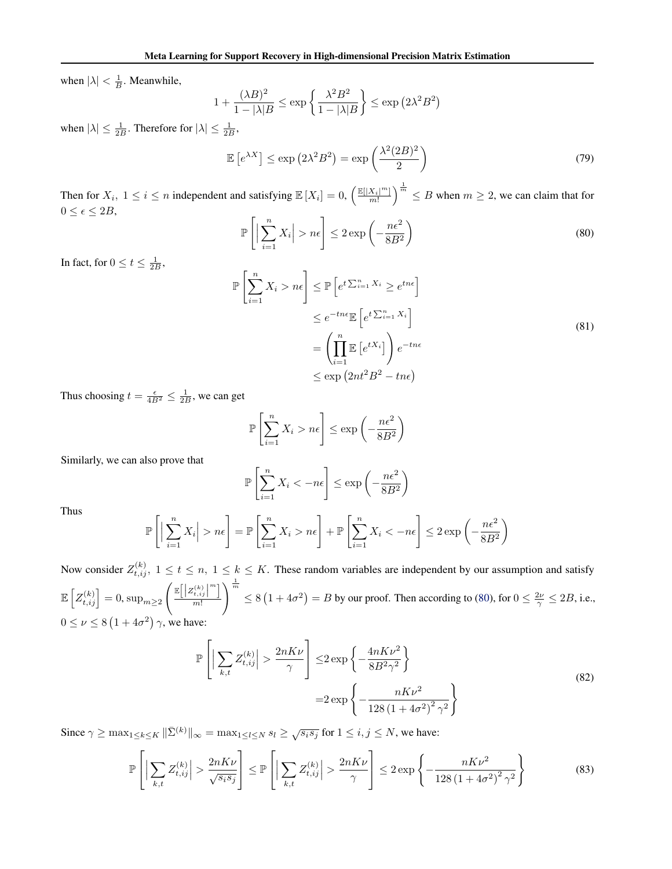when  $|\lambda| < \frac{1}{B}$ . Meanwhile,

$$
1 + \frac{(\lambda B)^2}{1 - |\lambda|B} \le \exp\left\{\frac{\lambda^2 B^2}{1 - |\lambda|B}\right\} \le \exp\left(2\lambda^2 B^2\right)
$$

when  $|\lambda| \leq \frac{1}{2B}$ . Therefore for  $|\lambda| \leq \frac{1}{2B}$ ,

$$
\mathbb{E}\left[e^{\lambda X}\right] \le \exp\left(2\lambda^2 B^2\right) = \exp\left(\frac{\lambda^2 (2B)^2}{2}\right) \tag{79}
$$

Then for  $X_i$ ,  $1 \le i \le n$  independent and satisfying  $\mathbb{E}[X_i] = 0$ ,  $\left(\frac{\mathbb{E}[|X_i|^m|}{m!}\right)^{\frac{1}{m}} \le B$  when  $m \ge 2$ , we can claim that for  $0 \leq \epsilon \leq 2B,$ 

$$
\mathbb{P}\left[\left|\sum_{i=1}^{n} X_i\right| > n\epsilon\right] \le 2\exp\left(-\frac{n\epsilon^2}{8B^2}\right) \tag{80}
$$

In fact, for  $0 \le t \le \frac{1}{2B}$ ,

$$
\mathbb{P}\left[\sum_{i=1}^{n} X_i > n\epsilon\right] \leq \mathbb{P}\left[e^{t\sum_{i=1}^{n} X_i} \geq e^{tn\epsilon}\right]
$$

$$
\leq e^{-tn\epsilon} \mathbb{E}\left[e^{t\sum_{i=1}^{n} X_i}\right]
$$

$$
= \left(\prod_{i=1}^{n} \mathbb{E}\left[e^{tX_i}\right]\right) e^{-tn\epsilon}
$$

$$
\leq \exp\left(2nt^2 B^2 - tn\epsilon\right)
$$
(81)

Thus choosing  $t = \frac{\epsilon}{4B^2} \le \frac{1}{2B}$ , we can get

$$
\mathbb{P}\left[\sum_{i=1}^{n} X_i > n\epsilon\right] \le \exp\left(-\frac{n\epsilon^2}{8B^2}\right)
$$

Similarly, we can also prove that

$$
\mathbb{P}\left[\sum_{i=1}^{n} X_i < -n\epsilon\right] \le \exp\left(-\frac{n\epsilon^2}{8B^2}\right)
$$

Thus

$$
\mathbb{P}\left[\Big|\sum_{i=1}^n X_i\Big| > n\epsilon\right] = \mathbb{P}\left[\sum_{i=1}^n X_i > n\epsilon\right] + \mathbb{P}\left[\sum_{i=1}^n X_i < -n\epsilon\right] \le 2\exp\left(-\frac{n\epsilon^2}{8B^2}\right)
$$

Now consider  $Z_{t,ij}^{(k)}$ ,  $1 \le t \le n, 1 \le k \le K$ . These random variables are independent by our assumption and satisfy  $\mathbb{E}\left[Z_{t,ij}^{(k)}\right] = 0, \text{sup}_{m \geq 2}$  $\left( \frac{\mathbb{E}\left[ \left| Z_{t, ij}^{(k)} \right|^{m} \right]}{ \mathbb{E}\left[ \left| Z_{t, ij}^{(k)} \right|^{m} \right]} \right)$ m!  $\sqrt{\frac{1}{m}}$  $\leq 8(1+4\sigma^2) = B$  by our proof. Then according to (80), for  $0 \leq \frac{2\nu}{\gamma} \leq 2B$ , i.e.,  $0 \leq \nu \leq 8(1+4\sigma^2)\gamma$ , we have:

$$
\mathbb{P}\left[\left|\sum_{k,t} Z_{t,ij}^{(k)}\right| > \frac{2nK\nu}{\gamma}\right] \le 2 \exp\left\{-\frac{4nK\nu^2}{8B^2\gamma^2}\right\}
$$
\n
$$
= 2 \exp\left\{-\frac{nK\nu^2}{128\left(1+4\sigma^2\right)^2\gamma^2}\right\}
$$
\n(82)

Since  $\gamma \ge \max_{1 \le k \le K} \|\bar{\Sigma}^{(k)}\|_{\infty} = \max_{1 \le l \le N} s_l \ge \sqrt{s_i s_j}$  for  $1 \le i, j \le N$ , we have:

$$
\mathbb{P}\left[\left|\sum_{k,t} Z_{t,ij}^{(k)}\right| > \frac{2nK\nu}{\sqrt{s_i s_j}}\right] \le \mathbb{P}\left[\left|\sum_{k,t} Z_{t,ij}^{(k)}\right| > \frac{2nK\nu}{\gamma}\right] \le 2\exp\left\{-\frac{nK\nu^2}{128\left(1+4\sigma^2\right)^2\gamma^2}\right\} \tag{83}
$$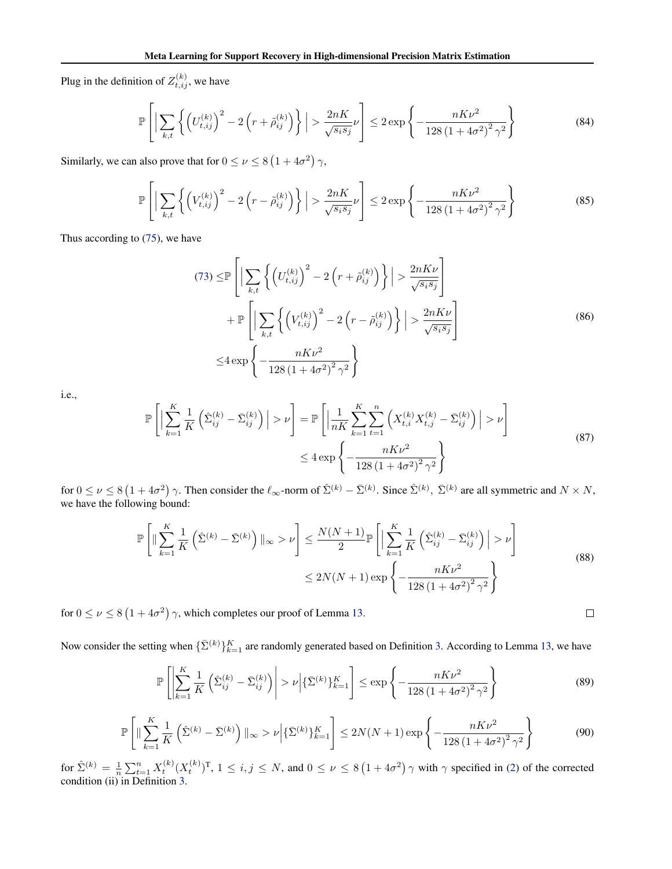Plug in the definition of  $Z_{t,ij}^{(k)}$ , we have

$$
\mathbb{P}\left[\left|\sum_{k,t}\left\{\left(U_{t,ij}^{(k)}\right)^2 - 2\left(r+\tilde{\rho}_{ij}^{(k)}\right)\right\}\right| > \frac{2nK}{\sqrt{s_is_j}}\nu\right] \le 2\exp\left\{-\frac{nK\nu^2}{128\left(1+4\sigma^2\right)^2\gamma^2}\right\} \tag{84}
$$

Similarly, we can also prove that for  $0 \le \nu \le 8(1 + 4\sigma^2) \gamma$ ,

$$
\mathbb{P}\left[\left|\sum_{k,t}\left\{\left(V_{t,ij}^{(k)}\right)^2 - 2\left(r - \tilde{\rho}_{ij}^{(k)}\right)\right\}\right| > \frac{2nK}{\sqrt{s_i s_j}}\nu\right] \le 2\exp\left\{-\frac{nK\nu^2}{128\left(1 + 4\sigma^2\right)^2\gamma^2}\right\} \tag{85}
$$

Thus according to [\(75\)](#page-15-0), we have

$$
(73) \leq \mathbb{P}\left[\left|\sum_{k,t}\left\{\left(U_{t,ij}^{(k)}\right)^2 - 2\left(r+\tilde{\rho}_{ij}^{(k)}\right)\right\}\right| > \frac{2nK\nu}{\sqrt{s_is_j}}\right] + \mathbb{P}\left[\left|\sum_{k,t}\left\{\left(V_{t,ij}^{(k)}\right)^2 - 2\left(r-\tilde{\rho}_{ij}^{(k)}\right)\right\}\right| > \frac{2nK\nu}{\sqrt{s_is_j}}\right] \leq 4\exp\left\{-\frac{nK\nu^2}{128\left(1+4\sigma^2\right)^2\gamma^2}\right\}
$$
\n(86)

i.e.,

$$
\mathbb{P}\left[\left|\sum_{k=1}^{K} \frac{1}{K} \left(\hat{\Sigma}_{ij}^{(k)} - \bar{\Sigma}_{ij}^{(k)}\right)\right| > \nu\right] = \mathbb{P}\left[\left|\frac{1}{nK} \sum_{k=1}^{K} \sum_{t=1}^{n} \left(X_{t,i}^{(k)} X_{t,j}^{(k)} - \bar{\Sigma}_{ij}^{(k)}\right)\right| > \nu\right]
$$
\n
$$
\leq 4 \exp\left\{-\frac{nK\nu^{2}}{128\left(1 + 4\sigma^{2}\right)^{2} \gamma^{2}}\right\}
$$
\n(87)

for  $0 \le \nu \le 8(1+4\sigma^2)$   $\gamma$ . Then consider the  $\ell_{\infty}$ -norm of  $\hat{\Sigma}^{(k)} - \bar{\Sigma}^{(k)}$ . Since  $\hat{\Sigma}^{(k)}$ ,  $\bar{\Sigma}^{(k)}$  are all symmetric and  $N \times N$ , we have the following bound:

$$
\mathbb{P}\left[\|\sum_{k=1}^{K} \frac{1}{K} \left(\hat{\Sigma}^{(k)} - \bar{\Sigma}^{(k)}\right)\|_{\infty} > \nu\right] \le \frac{N(N+1)}{2} \mathbb{P}\left[\left|\sum_{k=1}^{K} \frac{1}{K} \left(\hat{\Sigma}_{ij}^{(k)} - \bar{\Sigma}_{ij}^{(k)}\right)\right| > \nu\right]
$$
  

$$
\le 2N(N+1) \exp\left\{-\frac{nK\nu^2}{128\left(1 + 4\sigma^2\right)^2 \gamma^2}\right\}
$$
(88)

for  $0 \le \nu \le 8(1+4\sigma^2)$   $\gamma$ , which completes our proof of Lemma [13.](#page-14-0)

Now consider the setting when  $\{\bar{\Sigma}^{(k)}\}_{k=1}^K$  are randomly generated based on Definition [3.](#page--1-0) According to Lemma [13,](#page-14-0) we have

$$
\mathbb{P}\left[\left|\sum_{k=1}^{K} \frac{1}{K} \left(\hat{\Sigma}_{ij}^{(k)} - \bar{\Sigma}_{ij}^{(k)}\right)\right| > \nu \left|\{\bar{\Sigma}^{(k)}\}_{k=1}^{K}\right| \le \exp\left\{-\frac{nK\nu^{2}}{128\left(1 + 4\sigma^{2}\right)^{2}\gamma^{2}}\right\}
$$
(89)

 $\Box$ 

$$
\mathbb{P}\left[\|\sum_{k=1}^{K} \frac{1}{K} \left(\hat{\Sigma}^{(k)} - \bar{\Sigma}^{(k)}\right)\|_{\infty} > \nu \left|\{\bar{\Sigma}^{(k)}\}_{k=1}^{K}\right| \le 2N(N+1)\exp\left\{-\frac{nK\nu^{2}}{128\left(1 + 4\sigma^{2}\right)^{2}\gamma^{2}}\right\}
$$
(90)

for  $\hat{\Sigma}^{(k)} = \frac{1}{n} \sum_{t=1}^{n} X_t^{(k)} (X_t^{(k)})^T$ ,  $1 \le i, j \le N$ , and  $0 \le \nu \le 8(1 + 4\sigma^2)$   $\gamma$  with  $\gamma$  specified in [\(2\)](#page--1-0) of the corrected condition (ii) in Definition [3.](#page--1-0)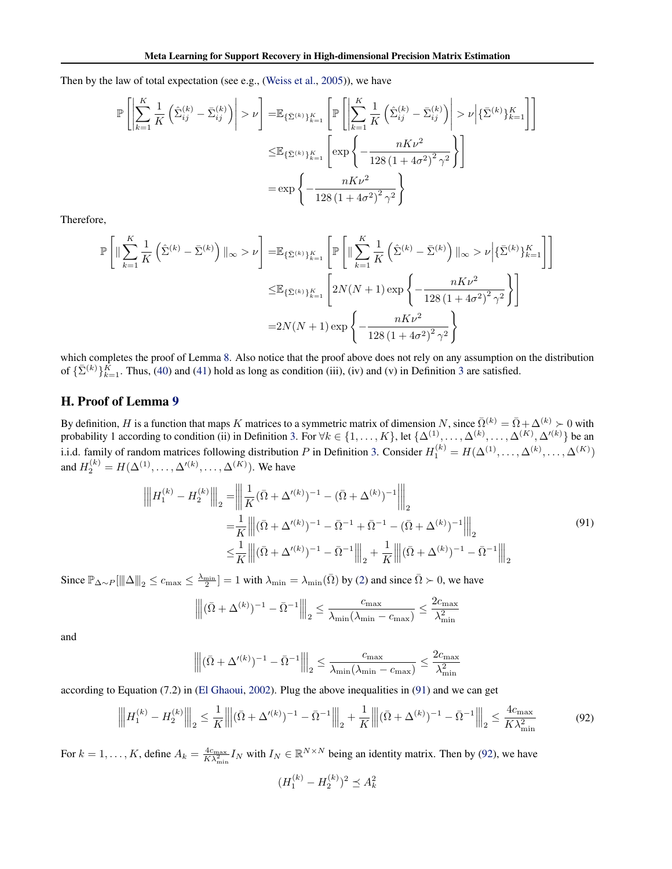<span id="page-19-0"></span>Then by the law of total expectation (see e.g., [\(Weiss et al.,](#page--1-0) [2005\)](#page--1-0)), we have

$$
\mathbb{P}\left[\left|\sum_{k=1}^{K} \frac{1}{K} \left(\hat{\Sigma}_{ij}^{(k)} - \bar{\Sigma}_{ij}^{(k)}\right)\right| > \nu\right] = \mathbb{E}_{\{\bar{\Sigma}^{(k)}\}_{k=1}^{K}} \left[\mathbb{P}\left[\left|\sum_{k=1}^{K} \frac{1}{K} \left(\hat{\Sigma}_{ij}^{(k)} - \bar{\Sigma}_{ij}^{(k)}\right)\right| > \nu \middle|\{\bar{\Sigma}^{(k)}\}_{k=1}^{K}\right]\right]
$$
\n
$$
\leq \mathbb{E}_{\{\bar{\Sigma}^{(k)}\}_{k=1}^{K}} \left[\exp\left\{-\frac{nK\nu^{2}}{128\left(1 + 4\sigma^{2}\right)^{2}\gamma^{2}}\right\}\right]
$$
\n
$$
= \exp\left\{-\frac{nK\nu^{2}}{128\left(1 + 4\sigma^{2}\right)^{2}\gamma^{2}}\right\}
$$

Therefore,

$$
\mathbb{P}\left[\|\sum_{k=1}^{K} \frac{1}{K} \left(\hat{\Sigma}^{(k)} - \bar{\Sigma}^{(k)}\right)\|_{\infty} > \nu\right] = \mathbb{E}_{\{\bar{\Sigma}^{(k)}\}_{k=1}^{K}} \left[\mathbb{P}\left[\|\sum_{k=1}^{K} \frac{1}{K} \left(\hat{\Sigma}^{(k)} - \bar{\Sigma}^{(k)}\right)\|_{\infty} > \nu \middle|\{\bar{\Sigma}^{(k)}\}_{k=1}^{K}\right]\right]
$$

$$
\leq \mathbb{E}_{\{\bar{\Sigma}^{(k)}\}_{k=1}^{K}} \left[2N(N+1)\exp\left\{-\frac{nK\nu^{2}}{128\left(1+4\sigma^{2}\right)^{2}\gamma^{2}}\right\}\right]
$$

$$
= 2N(N+1)\exp\left\{-\frac{nK\nu^{2}}{128\left(1+4\sigma^{2}\right)^{2}\gamma^{2}}\right\}
$$

which completes the proof of Lemma [8.](#page-6-0) Also notice that the proof above does not rely on any assumption on the distribution of  $\{\bar{\Sigma}^{(k)}\}_{k=1}^{\bar{K}}$ . Thus, [\(40\)](#page-6-0) and [\(41\)](#page-6-0) hold as long as condition (iii), (iv) and (v) in Definition [3](#page--1-0) are satisfied.

# H. Proof of Lemma [9](#page-6-0)

By definition, H is a function that maps K matrices to a symmetric matrix of dimension N, since  $\overline{\Omega}^{(k)} = \overline{\Omega} + \Delta^{(k)} > 0$  with probability 1 according to condition (ii) in Definition [3.](#page--1-0) For  $\forall k \in \{1, ..., K\}$ , let  $\{\Delta^{(1)}, ..., \Delta^{(k)}, ..., \Delta^{(K)}, \Delta'^{(k)}\}$  be an i.i.d. family of random matrices following distribution P in Definition [3.](#page--1-0) Consider  $H_1^{(k)} = H(\Delta^{(1)}, \ldots, \Delta^{(k)}, \ldots, \Delta^{(K)})$ and  $H_2^{(k)} = H(\Delta^{(1)}, \dots, \Delta'^{(k)}, \dots, \Delta^{(K)})$ . We have

$$
\left\| H_1^{(k)} - H_2^{(k)} \right\|_2 = \left\| \frac{1}{K} (\bar{\Omega} + \Delta'^{(k)})^{-1} - (\bar{\Omega} + \Delta^{(k)})^{-1} \right\|_2
$$
  
\n
$$
= \frac{1}{K} \left\| (\bar{\Omega} + \Delta'^{(k)})^{-1} - \bar{\Omega}^{-1} + \bar{\Omega}^{-1} - (\bar{\Omega} + \Delta^{(k)})^{-1} \right\|_2
$$
  
\n
$$
\leq \frac{1}{K} \left\| (\bar{\Omega} + \Delta'^{(k)})^{-1} - \bar{\Omega}^{-1} \right\|_2 + \frac{1}{K} \left\| (\bar{\Omega} + \Delta^{(k)})^{-1} - \bar{\Omega}^{-1} \right\|_2
$$
\n(91)

Since  $\mathbb{P}_{\Delta \sim P} [\|\Delta\|_2 \le c_{\max} \le \frac{\lambda_{\min}}{2}] = 1$  with  $\lambda_{\min} = \lambda_{\min}(\bar{\Omega})$  by [\(2\)](#page--1-0) and since  $\bar{\Omega} \succ 0$ , we have

$$
\left\| (\bar{\Omega} + \Delta^{(k)})^{-1} - \bar{\Omega}^{-1} \right\|_2 \le \frac{c_{\max}}{\lambda_{\min} (\lambda_{\min} - c_{\max})} \le \frac{2c_{\max}}{\lambda_{\min}^2}
$$

and

$$
\left\| \|\bar{(\Omega}+\Delta'^{(k)})^{-1}-\bar{\Omega}^{-1}\right\|_2\leq \frac{c_{\max}}{\lambda_{\min}(\lambda_{\min}-c_{\max})}\leq \frac{2c_{\max}}{\lambda_{\min}^2}
$$

according to Equation (7.2) in [\(El Ghaoui,](#page--1-0) [2002\)](#page--1-0). Plug the above inequalities in (91) and we can get

$$
\left\| H_1^{(k)} - H_2^{(k)} \right\|_2 \le \frac{1}{K} \left\| (\bar{\Omega} + \Delta'^{(k)})^{-1} - \bar{\Omega}^{-1} \right\|_2 + \frac{1}{K} \left\| (\bar{\Omega} + \Delta^{(k)})^{-1} - \bar{\Omega}^{-1} \right\|_2 \le \frac{4c_{\text{max}}}{K\lambda_{\text{min}}^2}
$$
(92)

For  $k = 1, ..., K$ , define  $A_k = \frac{4c_{\text{max}}}{K\lambda_{\text{min}}^2} I_N$  with  $I_N \in \mathbb{R}^{N \times N}$  being an identity matrix. Then by (92), we have

$$
(H_1^{(k)} - H_2^{(k)})^2 \preceq A_k^2
$$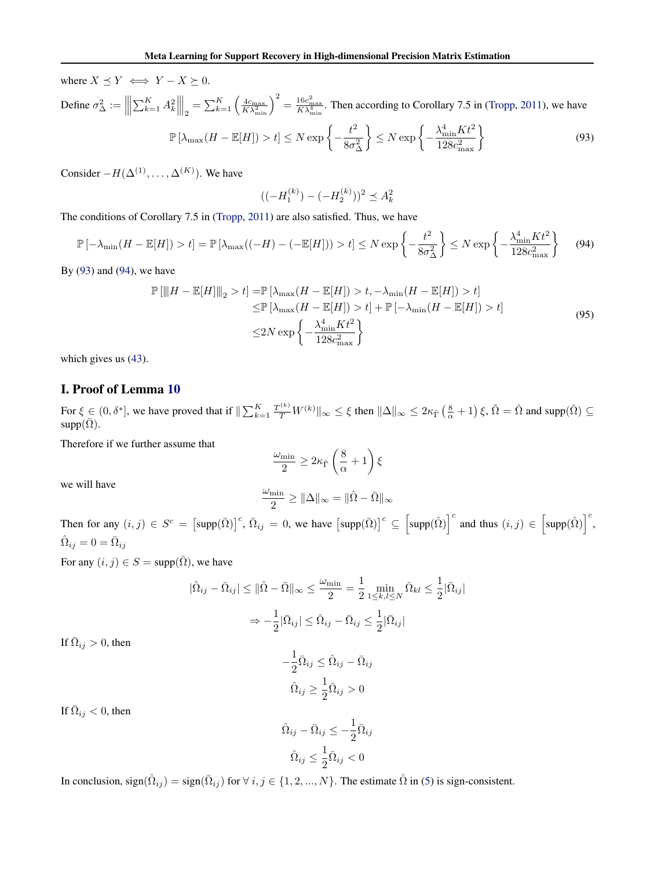<span id="page-20-0"></span>where  $X \preceq Y \iff Y - X \succeq 0$ . Define  $\sigma_{\Delta}^2 :=$  $\begin{array}{c} \hline \end{array}$  $\left| \sum_{k=1}^K A_k^2 \right|$  $\begin{array}{c} \hline \end{array}$  $\left.\frac{1}{2} = \sum_{k=1}^{K} \left( \frac{4c_{\text{max}}}{K\lambda_{\text{min}}^2} \right)^2 = \frac{16c_{\text{max}}^2}{K\lambda_{\text{min}}^4}$ . Then according to Corollary 7.5 in [\(Tropp,](#page--1-0) [2011\)](#page--1-0), we have  $\mathbb{P}\left[\lambda_{\max}(H - \mathbb{E}[H]) > t\right] \leq N \exp\left\{-\frac{t^2}{2\sigma^2}\right\}$  $8\sigma_{\Delta}^2$  $\Big\} \leq N \exp \left\{-\frac{\lambda_{\min}^4 K t^2}{100 \lambda_{\min}^2}$  $\frac{\lambda_{\min}^4 K t^2}{128 c_{\max}^2}$ (93)

Consider  $-H(\Delta^{(1)}, \ldots, \Delta^{(K)})$ . We have

$$
((-H_1^{(k)}) - (-H_2^{(k)}))^2 \preceq A_k^2
$$

The conditions of Corollary 7.5 in [\(Tropp,](#page--1-0) [2011\)](#page--1-0) are also satisfied. Thus, we have

$$
\mathbb{P}\left[-\lambda_{\min}(H - \mathbb{E}[H]) > t\right] = \mathbb{P}\left[\lambda_{\max}((-H) - (-\mathbb{E}[H])) > t\right] \le N \exp\left\{-\frac{t^2}{8\sigma_{\Delta}^2}\right\} \le N \exp\left\{-\frac{\lambda_{\min}^4 K t^2}{128c_{\max}^2}\right\} \tag{94}
$$

By (93) and (94), we have

$$
\mathbb{P}\left[\|H - \mathbb{E}[H]\|_{2} > t\right] = \mathbb{P}\left[\lambda_{\max}(H - \mathbb{E}[H]) > t, -\lambda_{\min}(H - \mathbb{E}[H]) > t\right] \\
\leq \mathbb{P}\left[\lambda_{\max}(H - \mathbb{E}[H]) > t\right] + \mathbb{P}\left[-\lambda_{\min}(H - \mathbb{E}[H]) > t\right] \\
\leq 2N \exp\left\{-\frac{\lambda_{\min}^4 K t^2}{128c_{\max}^2}\right\} \tag{95}
$$

which gives us [\(43\)](#page-6-0).

# I. Proof of Lemma [10](#page-8-0)

For  $\xi \in (0, \delta^*]$ , we have proved that if  $\|\sum_{k=1}^K \frac{T^{(k)}}{T} W^{(k)} \|_{\infty} \le \xi$  then  $\|\Delta\|_{\infty} \le 2\kappa_{\bar{\Gamma}}(\frac{8}{\alpha}+1) \xi$ ,  $\tilde{\Omega} = \hat{\Omega}$  and supp $(\hat{\Omega}) \subseteq$  $supp(\overline{\Omega})$ .

Therefore if we further assume that

$$
\frac{\omega_{\min}}{2} \ge 2\kappa_{\bar{\Gamma}} \left(\frac{8}{\alpha} + 1\right) \xi
$$

we will have

$$
\frac{\omega_{\min}}{2} \geq \|\Delta\|_{\infty} = \|\hat{\Omega} - \bar{\Omega}\|_{\infty}
$$

Then for any  $(i, j) \in S^c = [\text{supp}(\bar{\Omega})]^c$ ,  $\bar{\Omega}_{ij} = 0$ , we have  $[\text{supp}(\bar{\Omega})]^c \subseteq [\text{supp}(\hat{\Omega})]^c$  and thus  $(i, j) \in [\text{supp}(\hat{\Omega})]^c$ ,  $\hat{\Omega}_{ij}=0=\bar{\Omega}_{ij}$ 

For any  $(i, j) \in S = \text{supp}(\overline{\Omega})$ , we have

$$
|\hat{\Omega}_{ij} - \bar{\Omega}_{ij}| \le ||\hat{\Omega} - \bar{\Omega}||_{\infty} \le \frac{\omega_{\min}}{2} = \frac{1}{2} \min_{1 \le k, l \le N} \bar{\Omega}_{kl} \le \frac{1}{2} |\bar{\Omega}_{ij}|
$$

$$
\Rightarrow -\frac{1}{2} |\bar{\Omega}_{ij}| \le \hat{\Omega}_{ij} - \bar{\Omega}_{ij} \le \frac{1}{2} |\bar{\Omega}_{ij}|
$$

If  $\overline{\Omega}_{ij} > 0$ , then

$$
-\frac{1}{2}\bar{\Omega}_{ij} \leq \hat{\Omega}_{ij} - \bar{\Omega}_{ij}
$$

$$
\hat{\Omega}_{ij} \geq \frac{1}{2}\bar{\Omega}_{ij} > 0
$$

If  $\overline{\Omega}_{ij} < 0$ , then

$$
\hat{\Omega}_{ij} - \bar{\Omega}_{ij} \le -\frac{1}{2}\bar{\Omega}_{ij}
$$

$$
\hat{\Omega}_{ij} \le \frac{1}{2}\bar{\Omega}_{ij} < 0
$$

In conclusion, sign $(\hat{\Omega}_{ij}) = \text{sign}(\bar{\Omega}_{ij})$  for  $\forall i, j \in \{1, 2, ..., N\}$ . The estimate  $\hat{\Omega}$  in [\(5\)](#page--1-0) is sign-consistent.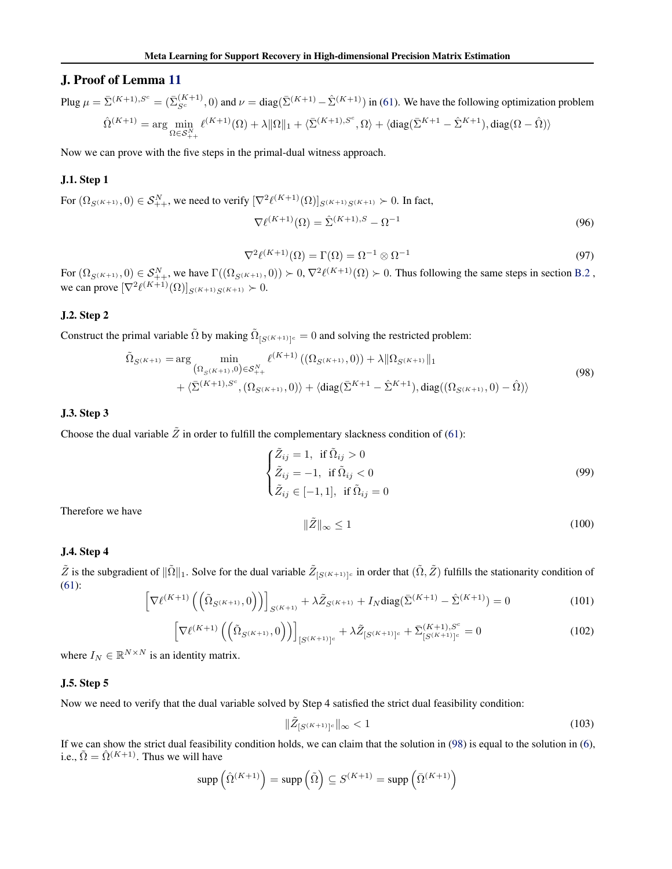# <span id="page-21-0"></span>J. Proof of Lemma [11](#page-12-0)

Plug  $\mu = \bar{\Sigma}^{(K+1),S^c} = (\bar{\Sigma}_{S^c}^{(K+1)}, 0)$  and  $\nu = \text{diag}(\bar{\Sigma}^{(K+1)} - \hat{\Sigma}^{(K+1)})$  in [\(61\)](#page-11-0). We have the following optimization problem  $\hat{\Omega}^{(K+1)} = \arg\min_{\Omega \in \mathcal{S}_{++}^{N}}$  $\ell^{(K+1)}(\Omega) + \lambda \|\Omega\|_1 + \langle \bar{\Sigma}^{(K+1),S^c}, \Omega \rangle + \langle \mathrm{diag}(\bar{\Sigma}^{K+1} - \hat{\Sigma}^{K+1}), \mathrm{diag}(\Omega - \hat{\Omega}) \rangle$ 

Now we can prove with the five steps in the primal-dual witness approach.

### J.1. Step 1

For  $(\Omega_{S^{(K+1)}},0) \in S^N_{++}$ , we need to verify  $[\nabla^2 \ell^{(K+1)}(\Omega)]_{S^{(K+1)}S^{(K+1)}} \succ 0$ . In fact,

$$
\nabla \ell^{(K+1)}(\Omega) = \hat{\Sigma}^{(K+1),S} - \Omega^{-1}
$$
\n(96)

$$
\nabla^2 \ell^{(K+1)}(\Omega) = \Gamma(\Omega) = \Omega^{-1} \otimes \Omega^{-1}
$$
\n(97)

For  $(\Omega_{S^{(K+1)}},0) \in S^N_{++}$ , we have  $\Gamma((\Omega_{S^{(K+1)}},0)) \succ 0, \nabla^2 \ell^{(K+1)}(\Omega) \succ 0$ . Thus following the same steps in section [B.2](#page-1-0), we can prove  $[\nabla^2 \ell^{(K+1)}(\Omega)]_{S(K+1)S(K+1)} \succ 0$ .

### J.2. Step 2

Construct the primal variable  $\tilde{\Omega}$  by making  $\tilde{\Omega}_{[S^{(K+1)}]^c} = 0$  and solving the restricted problem:

$$
\tilde{\Omega}_{S^{(K+1)}} = \arg \min_{\left(\Omega_{S^{(K+1)}}, 0\right) \in S_+^N + \left(\sum_{i=1}^K (K+1) \cdot (0, 0) \cdot (0, 0)\right)} \ell^{(K+1)} \left(\left(\Omega_{S^{(K+1)}}, 0\right)\right) + \lambda \|\Omega_{S^{(K+1)}}\|_1 + \langle \bar{\Sigma}^{(K+1)}, S^c, \left(\Omega_{S^{(K+1)}}, 0\right) \rangle + \langle \text{diag}(\bar{\Sigma}^{K+1} - \hat{\Sigma}^{K+1}), \text{diag}(\left(\Omega_{S^{(K+1)}}, 0\right) - \hat{\Omega}) \rangle
$$
\n(98)

#### J.3. Step 3

Choose the dual variable  $\tilde{Z}$  in order to fulfill the complementary slackness condition of [\(61\)](#page-11-0):

$$
\begin{cases} \tilde{Z}_{ij} = 1, & \text{if } \tilde{\Omega}_{ij} > 0 \\ \tilde{Z}_{ij} = -1, & \text{if } \tilde{\Omega}_{ij} < 0 \\ \tilde{Z}_{ij} \in [-1, 1], & \text{if } \tilde{\Omega}_{ij} = 0 \end{cases}
$$
\n(99)

Therefore we have

$$
\|\tilde{Z}\|_{\infty} \le 1\tag{100}
$$

#### J.4. Step 4

 $\tilde{Z}$  is the subgradient of  $\|\tilde{\Omega}\|_1$ . Solve for the dual variable  $\tilde{Z}_{[S(K+1)]^c}$  in order that  $(\tilde{\Omega}, \tilde{Z})$  fulfills the stationarity condition of [\(61\)](#page-11-0):

$$
\[ \nabla \ell^{(K+1)} \left( \left( \tilde{\Omega}_{S^{(K+1)}}, 0 \right) \right) \]_{S^{(K+1)}} + \lambda \tilde{Z}_{S^{(K+1)}} + I_N \text{diag}(\bar{\Sigma}^{(K+1)} - \hat{\Sigma}^{(K+1)}) = 0 \tag{101}
$$

$$
\[\nabla \ell^{(K+1)} \left( \left( \tilde{\Omega}_{S^{(K+1)}}, 0 \right) \right)\]_{[S^{(K+1)}]^c} + \lambda \tilde{Z}_{[S^{(K+1)}]^c} + \bar{\Sigma}_{[S^{(K+1)}]^c}^{(K+1), S^c} = 0 \tag{102}
$$

where  $I_N \in \mathbb{R}^{N \times N}$  is an identity matrix.

### J.5. Step 5

Now we need to verify that the dual variable solved by Step 4 satisfied the strict dual feasibility condition:

$$
\|\tilde{Z}_{[S^{(K+1)}]^c}\|_{\infty} < 1\tag{103}
$$

If we can show the strict dual feasibility condition holds, we can claim that the solution in  $(98)$  is equal to the solution in  $(6)$ , i.e.,  $\tilde{\Omega} = \hat{\Omega}^{(K+1)}$ . Thus we will have

$$
\operatorname{supp}\left(\hat{\Omega}^{(K+1)}\right) = \operatorname{supp}\left(\tilde{\Omega}\right) \subseteq S^{(K+1)} = \operatorname{supp}\left(\bar{\Omega}^{(K+1)}\right)
$$